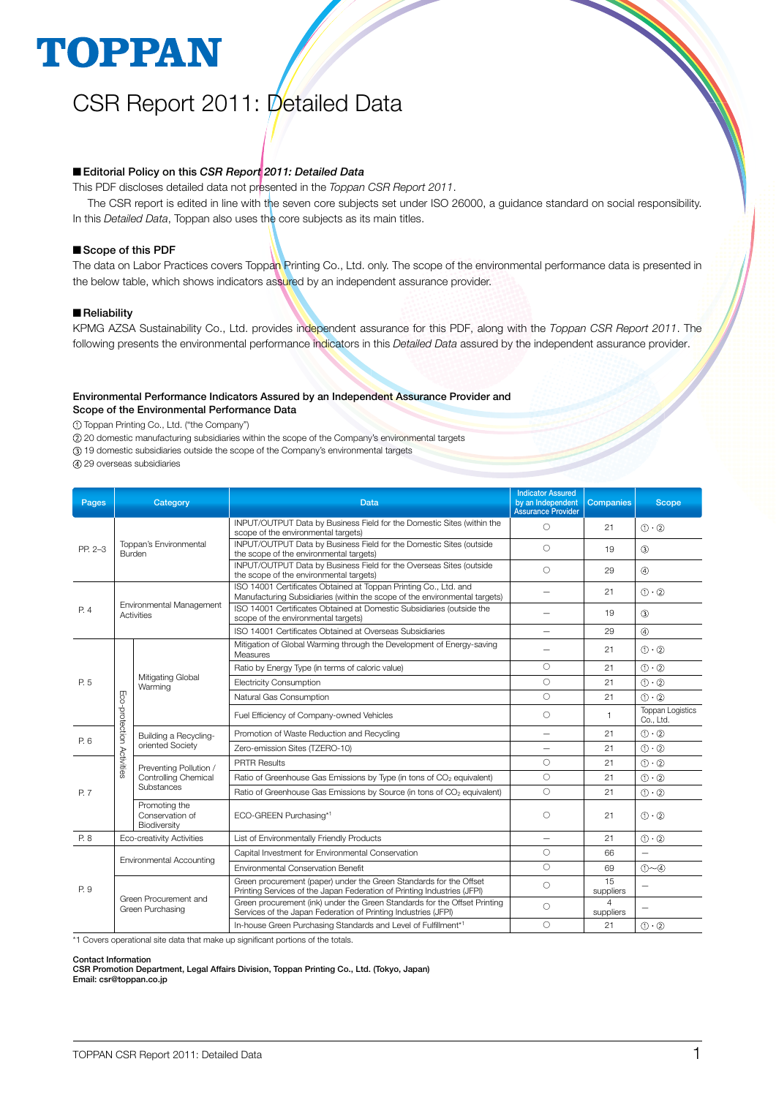# **TOPPAN**

## CSR Report 2011: Detailed Data

#### ■ Editorial Policy on this *CSR Report* 2011: Detailed Data

This PDF discloses detailed data not presented in the *Toppan CSR Report 2011*.

The CSR report is edited in line with the seven core subjects set under ISO 26000, a guidance standard on social responsibility. In this *Detailed Data*, Toppan also uses the core subjects as its main titles.

#### Scope of this PDF

The data on Labor Practices covers Toppan Printing Co., Ltd. only. The scope of the environmental performance data is presented in the below table, which shows indicators assured by an independent assurance provider.

#### **Reliability**

KPMG AZSA Sustainability Co., Ltd. provides independent assurance for this PDF, along with the *Toppan CSR Report 2011*. The following presents the environmental performance indicators in this *Detailed Data* assured by the independent assurance provider.

#### Environmental Performance Indicators Assured by an Independent Assurance Provider and Scope of the Environmental Performance Data

Toppan Printing Co., Ltd. ("the Company")

20 domestic manufacturing subsidiaries within the scope of the Company's environmental targets

19 domestic subsidiaries outside the scope of the Company's environmental targets

29 overseas subsidiaries

| Pages   |                                           | Category                                                     | <b>Data</b>                                                                                                                                    | <b>Indicator Assured</b><br>by an Independent<br><b>Assurance Provider</b> | <b>Companies</b>            | <b>Scope</b>                         |
|---------|-------------------------------------------|--------------------------------------------------------------|------------------------------------------------------------------------------------------------------------------------------------------------|----------------------------------------------------------------------------|-----------------------------|--------------------------------------|
| PP. 2-3 |                                           |                                                              | INPUT/OUTPUT Data by Business Field for the Domestic Sites (within the<br>scope of the environmental targets)                                  |                                                                            | 21                          | $(1) \cdot (2)$                      |
|         |                                           | Toppan's Environmental<br>Burden                             | INPUT/OUTPUT Data by Business Field for the Domestic Sites (outside<br>the scope of the environmental targets)                                 | $\bigcirc$                                                                 | 19                          | $\circled{3}$                        |
|         |                                           |                                                              | INPUT/OUTPUT Data by Business Field for the Overseas Sites (outside<br>the scope of the environmental targets)                                 | $\bigcirc$                                                                 | 29                          | $\circled{4}$                        |
|         |                                           |                                                              | ISO 14001 Certificates Obtained at Toppan Printing Co., Ltd. and<br>Manufacturing Subsidiaries (within the scope of the environmental targets) |                                                                            | 21                          | $(1) \cdot (2)$                      |
| P. 4    |                                           | Environmental Management<br><b>Activities</b>                | ISO 14001 Certificates Obtained at Domestic Subsidiaries (outside the<br>scope of the environmental targets)                                   |                                                                            | 19                          | (3)                                  |
|         |                                           |                                                              | ISO 14001 Certificates Obtained at Overseas Subsidiaries                                                                                       |                                                                            | 29                          | $\circled{4}$                        |
| P. 5    |                                           |                                                              | Mitigation of Global Warming through the Development of Energy-saving<br>Measures                                                              |                                                                            | 21                          | $(1) \cdot (2)$                      |
|         |                                           | Mitigating Global<br>Warming                                 | Ratio by Energy Type (in terms of caloric value)                                                                                               | $\circ$                                                                    | 21                          | $(1) \cdot (2)$                      |
|         |                                           |                                                              | <b>Electricity Consumption</b>                                                                                                                 | $\bigcirc$                                                                 | 21                          | $(1) \cdot (2)$                      |
|         | Eco-protection Activities                 |                                                              | Natural Gas Consumption                                                                                                                        | $\circ$                                                                    | 21                          | $(1) \cdot (2)$                      |
|         |                                           |                                                              | Fuel Efficiency of Company-owned Vehicles                                                                                                      | $\circ$                                                                    | $\mathbf{1}$                | <b>Toppan Logistics</b><br>Co., Ltd. |
| P. 6    | Building a Recycling-<br>oriented Society |                                                              | Promotion of Waste Reduction and Recycling                                                                                                     | $\overline{\phantom{0}}$                                                   | 21                          | $(1) \cdot (2)$                      |
|         |                                           |                                                              | Zero-emission Sites (TZERO-10)                                                                                                                 | $\overline{\phantom{0}}$                                                   | 21                          | $(1) \cdot (2)$                      |
|         |                                           | Preventing Pollution /<br>Controlling Chemical<br>Substances | <b>PRTR Results</b>                                                                                                                            | $\circ$                                                                    | 21                          | $(1) \cdot (2)$                      |
|         |                                           |                                                              | Ratio of Greenhouse Gas Emissions by Type (in tons of CO <sub>2</sub> equivalent)                                                              | $\circ$                                                                    | 21                          | $(1) \cdot (2)$                      |
| P. 7    |                                           |                                                              | Ratio of Greenhouse Gas Emissions by Source (in tons of CO <sub>2</sub> equivalent)                                                            | $\bigcirc$                                                                 | 21                          | $(1) \cdot (2)$                      |
|         |                                           | Promoting the<br>Conservation of<br>Biodiversity             | ECO-GREEN Purchasing*1                                                                                                                         | $\circ$                                                                    | 21                          | $(1) \cdot (2)$                      |
| P. 8    |                                           | Eco-creativity Activities                                    | List of Environmentally Friendly Products                                                                                                      |                                                                            | 21                          | $(1) \cdot (2)$                      |
|         |                                           | Environmental Accounting                                     | Capital Investment for Environmental Conservation                                                                                              | $\circ$                                                                    | 66                          |                                      |
|         |                                           |                                                              | Environmental Conservation Benefit                                                                                                             | $\bigcirc$                                                                 | 69                          | $(1) \sim (4)$                       |
| P. 9    |                                           |                                                              | Green procurement (paper) under the Green Standards for the Offset<br>Printing Services of the Japan Federation of Printing Industries (JFPI)  | $\circ$                                                                    | 15<br>suppliers             |                                      |
|         |                                           | Green Procurement and<br>Green Purchasing                    | Green procurement (ink) under the Green Standards for the Offset Printing<br>Services of the Japan Federation of Printing Industries (JFPI)    | $\circ$                                                                    | $\overline{4}$<br>suppliers |                                      |
|         |                                           |                                                              | In-house Green Purchasing Standards and Level of Fulfillment*1                                                                                 | 0                                                                          | 21                          | $(1) \cdot (2)$                      |

\*1 Covers operational site data that make up significant portions of the totals.

Contact Information

CSR Promotion Department, Legal Affairs Division, Toppan Printing Co., Ltd. (Tokyo, Japan) Email: csr@toppan.co.jp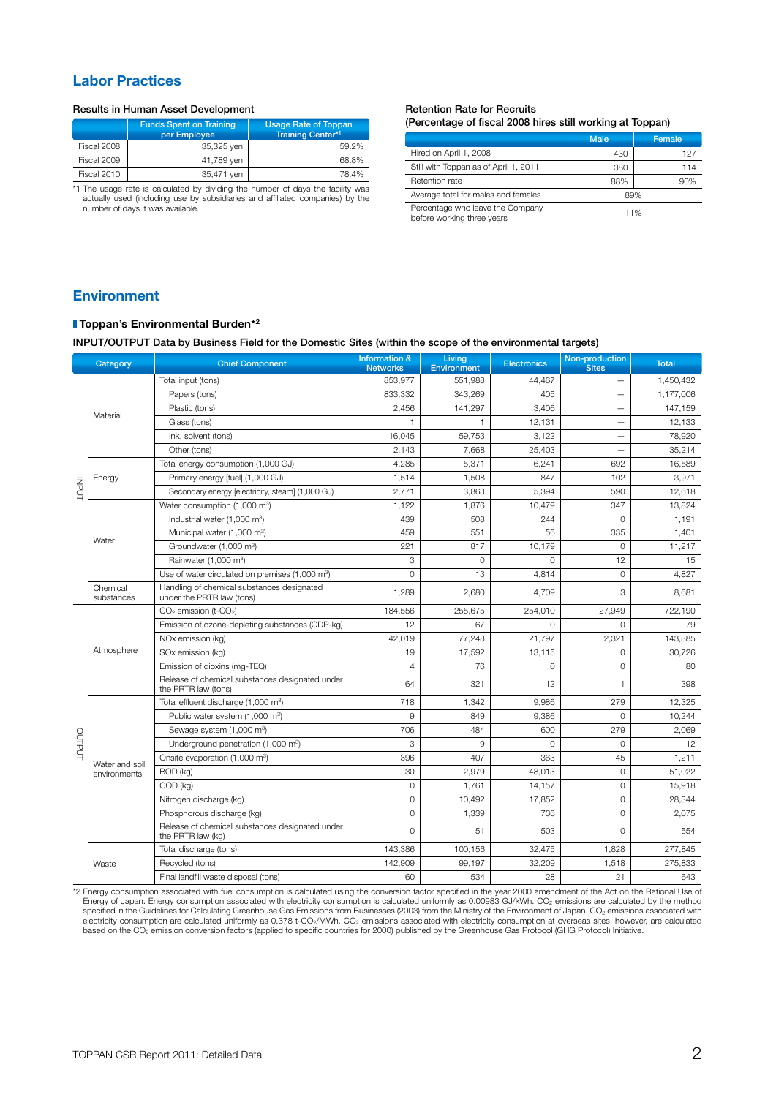### Labor Practices

#### Results in Human Asset Development **Retention Rate for Recruits** Retention Rate for Recruits

|             | <b>Funds Spent on Training</b><br>per Employee | <b>Usage Rate of Toppan</b><br><b>Training Center*1</b>  |
|-------------|------------------------------------------------|----------------------------------------------------------|
| Fiscal 2008 | 35,325 yen                                     | 59.2%                                                    |
| Fiscal 2009 | 41,789 yen                                     | 68.8%                                                    |
| Fiscal 2010 | 35,471 yen                                     | 78.4%                                                    |
| .           | .                                              | <b>Contract Contract Contract Contract Contract</b><br>. |

\*1 The usage rate is calculated by dividing the number of days the facility was actually used (including use by subsidiaries and affiliated companies) by the number of days it was available.

### (Percentage of fiscal 2008 hires still working at Toppan)

|                                                                | <b>Male</b> | Female |
|----------------------------------------------------------------|-------------|--------|
| Hired on April 1, 2008                                         | 430         | 127    |
| Still with Toppan as of April 1, 2011                          | 380         | 114    |
| Retention rate                                                 | 88%         | 90%    |
| Average total for males and females                            | 89%         |        |
| Percentage who leave the Company<br>before working three years | 11%         |        |

### Environment

#### Toppan's Environmental Burden\*2

INPUT/OUTPUT Data by Business Field for the Domestic Sites (within the scope of the environmental targets)

|                        | Category               | <b>Chief Component</b>                                                  | <b>Information &amp;</b><br><b>Networks</b> | Living<br><b>Environment</b> | <b>Electronics</b>                                                                                                                                                                                                                                                             | Non-production<br><b>Sites</b> | <b>Total</b> |
|------------------------|------------------------|-------------------------------------------------------------------------|---------------------------------------------|------------------------------|--------------------------------------------------------------------------------------------------------------------------------------------------------------------------------------------------------------------------------------------------------------------------------|--------------------------------|--------------|
|                        |                        | Total input (tons)                                                      | 853,977                                     | 551,988                      | 44,467                                                                                                                                                                                                                                                                         |                                | 1,450,432    |
|                        |                        | Papers (tons)                                                           | 833,332                                     | 343,269                      | 405                                                                                                                                                                                                                                                                            |                                | 1,177,006    |
| <b>INPUT</b><br>OUTPUT |                        | Plastic (tons)                                                          | 2.456                                       | 141.297                      | 3.406<br>12,131<br>3,122<br>25,403<br>6,241<br>847<br>5.394<br>10,479<br>244<br>56<br>10,179<br>0<br>4,814<br>4,709<br>254,010<br>0<br>21,797<br>13,115<br>0<br>12<br>9,986<br>9,386<br>600<br>$\Omega$<br>363<br>48,013<br>14,157<br>17,852<br>736<br>503<br>32,475<br>32,209 |                                | 147.159      |
|                        | Material               | Glass (tons)                                                            | 1                                           | $\mathbf{1}$                 |                                                                                                                                                                                                                                                                                | $\overline{\phantom{0}}$       | 12,133       |
|                        |                        | Ink, solvent (tons)                                                     | 16,045                                      | 59,753                       |                                                                                                                                                                                                                                                                                | $\overline{\phantom{0}}$       | 78,920       |
|                        |                        | Other (tons)                                                            | 2,143                                       | 7,668                        |                                                                                                                                                                                                                                                                                | $\overline{\phantom{0}}$       | 35,214       |
|                        |                        | Total energy consumption (1,000 GJ)                                     | 4,285                                       | 5,371                        |                                                                                                                                                                                                                                                                                | 692                            | 16,589       |
|                        | Energy                 | Primary energy [fuel] (1,000 GJ)                                        | 1,514                                       | 1,508                        |                                                                                                                                                                                                                                                                                | 102                            | 3.971        |
|                        |                        | Secondary energy [electricity, steam] (1,000 GJ)                        | 2.771                                       | 3,863                        |                                                                                                                                                                                                                                                                                | 590                            | 12,618       |
|                        |                        | Water consumption (1,000 m <sup>3</sup> )                               | 1,122                                       | 1,876                        |                                                                                                                                                                                                                                                                                | 347                            | 13,824       |
|                        |                        | Industrial water $(1,000 \text{ m}^3)$                                  | 439                                         | 508                          |                                                                                                                                                                                                                                                                                | $\circ$                        | 1,191        |
|                        |                        | Municipal water (1,000 m <sup>3</sup> )                                 | 459                                         | 551                          |                                                                                                                                                                                                                                                                                | 335                            | 1,401        |
|                        | Water                  | Groundwater (1,000 m <sup>3</sup> )                                     | 221                                         | 817                          |                                                                                                                                                                                                                                                                                | $\circ$                        | 11,217       |
|                        |                        | Rainwater (1,000 m <sup>3</sup> )                                       | 3                                           | 0                            |                                                                                                                                                                                                                                                                                | 12                             | 15           |
|                        |                        | Use of water circulated on premises (1,000 m <sup>3</sup> )             | $\Omega$                                    | 13                           |                                                                                                                                                                                                                                                                                | $\circ$                        | 4,827        |
|                        | Chemical<br>substances | Handling of chemical substances designated<br>under the PRTR law (tons) | 1,289                                       | 2,680                        |                                                                                                                                                                                                                                                                                | 3                              | 8,681        |
|                        |                        | CO <sub>2</sub> emission (t-CO <sub>2</sub> )                           | 184,556                                     | 255,675                      |                                                                                                                                                                                                                                                                                | 27,949                         | 722,190      |
|                        |                        | Emission of ozone-depleting substances (ODP-kg)                         | 12                                          | 67                           |                                                                                                                                                                                                                                                                                | 0                              | 79           |
|                        |                        | NOx emission (kg)                                                       | 42,019                                      | 77,248                       |                                                                                                                                                                                                                                                                                | 2,321                          | 143,385      |
|                        | Atmosphere             | SOx emission (kg)                                                       | 19                                          | 17,592                       |                                                                                                                                                                                                                                                                                | $\Omega$                       | 30,726       |
|                        |                        | Emission of dioxins (mg-TEQ)                                            | 4                                           | 76                           |                                                                                                                                                                                                                                                                                | 0                              | 80           |
|                        |                        | Release of chemical substances designated under<br>the PRTR law (tons)  | 64                                          | 321                          |                                                                                                                                                                                                                                                                                | 1                              | 398          |
|                        |                        | Total effluent discharge (1,000 m <sup>3</sup> )                        | 718                                         | 1,342                        |                                                                                                                                                                                                                                                                                | 279                            | 12,325       |
|                        |                        | Public water system (1,000 m <sup>3</sup> )                             | 9                                           | 849                          |                                                                                                                                                                                                                                                                                | $\Omega$                       | 10,244       |
|                        |                        | Sewage system (1,000 m <sup>3</sup> )                                   | 706                                         | 484                          |                                                                                                                                                                                                                                                                                | 279                            | 2,069        |
|                        |                        | Underground penetration (1,000 m <sup>3</sup> )                         | 3                                           | 9                            |                                                                                                                                                                                                                                                                                | $\Omega$                       | 12           |
|                        | Water and soil         | Onsite evaporation (1,000 m <sup>3</sup> )                              | 396                                         | 407                          |                                                                                                                                                                                                                                                                                | 45                             | 1,211        |
|                        | environments           | BOD (kg)                                                                | 30                                          | 2,979                        |                                                                                                                                                                                                                                                                                | 0                              | 51,022       |
|                        |                        | COD (kg)                                                                | $\circ$                                     | 1,761                        |                                                                                                                                                                                                                                                                                | $\circ$                        | 15,918       |
|                        |                        | Nitrogen discharge (kg)                                                 | $\circ$                                     | 10,492                       |                                                                                                                                                                                                                                                                                | 0                              | 28,344       |
|                        |                        | Phosphorous discharge (kg)                                              | $\circ$                                     | 1,339                        |                                                                                                                                                                                                                                                                                | $\circ$                        | 2.075        |
|                        |                        | Release of chemical substances designated under<br>the PRTR law (kg)    | 0                                           | 51                           |                                                                                                                                                                                                                                                                                | $\Omega$                       | 554          |
|                        |                        | Total discharge (tons)                                                  | 143,386                                     | 100,156                      |                                                                                                                                                                                                                                                                                | 1,828                          | 277,845      |
|                        | Waste                  | Recycled (tons)                                                         | 142,909                                     | 99,197                       |                                                                                                                                                                                                                                                                                | 1,518                          | 275,833      |
|                        |                        | Final landfill waste disposal (tons)                                    | 60                                          | 534                          | 28                                                                                                                                                                                                                                                                             | 21                             | 643          |

\*2 Energy consumption associated with fuel consumption is calculated using the conversion factor specified in the year 2000 amendment of the Act on the Rational Use of Energy of Japan. Energy consumption associated with electricity consumption is calculated uniformly as 0.00983 GJ/kWh. CO2 emissions are calculated by the method<br>specified in the Guidelines for Calculating Greenhouse Gas E electricity consumption are calculated uniformly as 0.378 t-CO<sub>2</sub>/MWh. CO<sub>2</sub> emissions associated with electricity consumption at overseas sites, however, are calculated based on the CO2 emission conversion factors (applied to specific countries for 2000) published by the Greenhouse Gas Protocol (GHG Protocol) Initiative.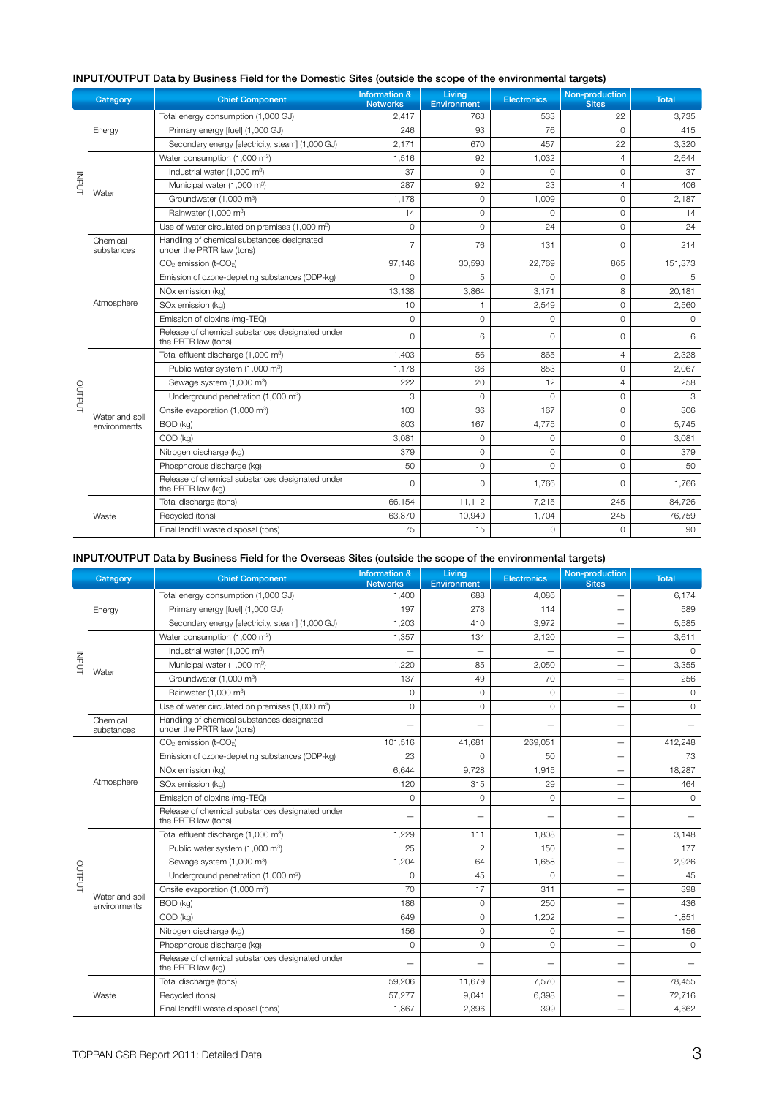|              | Category                                                                                                                                                                                                                                                                                                                                                                                                                                                                                                                                                                                                                                                                                                                                                                                                                                                                                                                                                                                                                                                                        | <b>Chief Component</b>                           | <b>Information &amp;</b><br><b>Networks</b> | Living<br><b>Environment</b> | <b>Electronics</b>                                                                                                                                                                                                                                                                                                                                                                                                                                                                                                                                                                                                                                                                                                                                                                 | Non-production<br><b>Sites</b> | <b>Total</b> |
|--------------|---------------------------------------------------------------------------------------------------------------------------------------------------------------------------------------------------------------------------------------------------------------------------------------------------------------------------------------------------------------------------------------------------------------------------------------------------------------------------------------------------------------------------------------------------------------------------------------------------------------------------------------------------------------------------------------------------------------------------------------------------------------------------------------------------------------------------------------------------------------------------------------------------------------------------------------------------------------------------------------------------------------------------------------------------------------------------------|--------------------------------------------------|---------------------------------------------|------------------------------|------------------------------------------------------------------------------------------------------------------------------------------------------------------------------------------------------------------------------------------------------------------------------------------------------------------------------------------------------------------------------------------------------------------------------------------------------------------------------------------------------------------------------------------------------------------------------------------------------------------------------------------------------------------------------------------------------------------------------------------------------------------------------------|--------------------------------|--------------|
|              |                                                                                                                                                                                                                                                                                                                                                                                                                                                                                                                                                                                                                                                                                                                                                                                                                                                                                                                                                                                                                                                                                 | Total energy consumption (1,000 GJ)              | 2,417                                       | 763                          | 22<br>533<br>76<br>$\Omega$<br>93<br>670<br>457<br>22<br>92<br>1,032<br>$\overline{4}$<br>$\circ$<br>0<br>0<br>92<br>23<br>$\overline{4}$<br>$\Omega$<br>1,009<br>$\Omega$<br>$\Omega$<br>$\Omega$<br>$\circ$<br>$\Omega$<br>24<br>$\Omega$<br>76<br>131<br>$\Omega$<br>30,593<br>22.769<br>865<br>5<br>$\Omega$<br>$\Omega$<br>3,864<br>3,171<br>8<br>$\circ$<br>2,549<br>$\mathbf{1}$<br>$\mathbf{O}$<br>$\Omega$<br>$\Omega$<br>6<br>$\Omega$<br>0<br>56<br>865<br>$\overline{4}$<br>36<br>853<br>$\circ$<br>20<br>12<br>$\overline{4}$<br>$\Omega$<br>$\Omega$<br>$\Omega$<br>167<br>$\Omega$<br>36<br>167<br>$\circ$<br>4,775<br>$\circ$<br>0<br>$\Omega$<br>$\circ$<br>0<br>$\Omega$<br>$\mathbf{O}$<br>$\Omega$<br>$\circ$<br>$\Omega$<br>1,766<br>$\Omega$<br>7,215<br>245 | 3,735                          |              |
|              | Energy                                                                                                                                                                                                                                                                                                                                                                                                                                                                                                                                                                                                                                                                                                                                                                                                                                                                                                                                                                                                                                                                          | Primary energy [fuel] (1,000 GJ)                 | 246                                         |                              |                                                                                                                                                                                                                                                                                                                                                                                                                                                                                                                                                                                                                                                                                                                                                                                    |                                | 415          |
|              |                                                                                                                                                                                                                                                                                                                                                                                                                                                                                                                                                                                                                                                                                                                                                                                                                                                                                                                                                                                                                                                                                 | Secondary energy [electricity, steam] (1,000 GJ) | 2,171                                       |                              |                                                                                                                                                                                                                                                                                                                                                                                                                                                                                                                                                                                                                                                                                                                                                                                    |                                | 3,320        |
| <b>INPOT</b> | Water<br>Chemical<br>substances<br>Atmosphere<br>Water and soil<br>environments                                                                                                                                                                                                                                                                                                                                                                                                                                                                                                                                                                                                                                                                                                                                                                                                                                                                                                                                                                                                 | Water consumption (1,000 m <sup>3</sup> )        | 1.516                                       |                              |                                                                                                                                                                                                                                                                                                                                                                                                                                                                                                                                                                                                                                                                                                                                                                                    |                                | 2,644        |
|              | Industrial water (1,000 m <sup>3</sup> )<br>Municipal water (1,000 m <sup>3</sup> )<br>Groundwater (1,000 m <sup>3</sup> )<br>Rainwater (1,000 m <sup>3</sup> )<br>Use of water circulated on premises (1,000 m <sup>3</sup> )<br>Handling of chemical substances designated<br>under the PRTR law (tons)<br>CO <sub>2</sub> emission (t-CO <sub>2</sub> )<br>Emission of ozone-depleting substances (ODP-kg)<br>NOx emission (kg)<br>SOx emission (kg)<br>Emission of dioxins (mg-TEQ)<br>Release of chemical substances designated under<br>the PRTR law (tons)<br>Total effluent discharge (1,000 m <sup>3</sup> )<br>Public water system (1,000 m <sup>3</sup> )<br>Sewage system (1,000 m <sup>3</sup> )<br>OUTPUT<br>Underground penetration (1,000 m <sup>3</sup> )<br>Onsite evaporation (1,000 m <sup>3</sup> )<br>BOD (kg)<br>COD (kg)<br>Nitrogen discharge (kg)<br>Phosphorous discharge (kg)<br>Release of chemical substances designated under<br>the PRTR law (kg)<br>Total discharge (tons)<br>Recycled (tons)<br>Waste<br>Final landfill waste disposal (tons) | 37                                               |                                             |                              |                                                                                                                                                                                                                                                                                                                                                                                                                                                                                                                                                                                                                                                                                                                                                                                    | 37                             |              |
|              |                                                                                                                                                                                                                                                                                                                                                                                                                                                                                                                                                                                                                                                                                                                                                                                                                                                                                                                                                                                                                                                                                 |                                                  | 287                                         |                              |                                                                                                                                                                                                                                                                                                                                                                                                                                                                                                                                                                                                                                                                                                                                                                                    |                                | 406          |
|              |                                                                                                                                                                                                                                                                                                                                                                                                                                                                                                                                                                                                                                                                                                                                                                                                                                                                                                                                                                                                                                                                                 |                                                  | 1,178                                       |                              |                                                                                                                                                                                                                                                                                                                                                                                                                                                                                                                                                                                                                                                                                                                                                                                    |                                | 2,187        |
|              |                                                                                                                                                                                                                                                                                                                                                                                                                                                                                                                                                                                                                                                                                                                                                                                                                                                                                                                                                                                                                                                                                 |                                                  | 14                                          |                              |                                                                                                                                                                                                                                                                                                                                                                                                                                                                                                                                                                                                                                                                                                                                                                                    |                                | 14           |
|              |                                                                                                                                                                                                                                                                                                                                                                                                                                                                                                                                                                                                                                                                                                                                                                                                                                                                                                                                                                                                                                                                                 |                                                  | $\circ$                                     |                              |                                                                                                                                                                                                                                                                                                                                                                                                                                                                                                                                                                                                                                                                                                                                                                                    |                                | 24           |
|              |                                                                                                                                                                                                                                                                                                                                                                                                                                                                                                                                                                                                                                                                                                                                                                                                                                                                                                                                                                                                                                                                                 |                                                  | $\overline{7}$                              |                              |                                                                                                                                                                                                                                                                                                                                                                                                                                                                                                                                                                                                                                                                                                                                                                                    |                                | 214          |
|              |                                                                                                                                                                                                                                                                                                                                                                                                                                                                                                                                                                                                                                                                                                                                                                                                                                                                                                                                                                                                                                                                                 |                                                  | 97,146                                      |                              |                                                                                                                                                                                                                                                                                                                                                                                                                                                                                                                                                                                                                                                                                                                                                                                    |                                | 151.373      |
|              |                                                                                                                                                                                                                                                                                                                                                                                                                                                                                                                                                                                                                                                                                                                                                                                                                                                                                                                                                                                                                                                                                 |                                                  | $\Omega$                                    |                              |                                                                                                                                                                                                                                                                                                                                                                                                                                                                                                                                                                                                                                                                                                                                                                                    |                                | 5            |
|              |                                                                                                                                                                                                                                                                                                                                                                                                                                                                                                                                                                                                                                                                                                                                                                                                                                                                                                                                                                                                                                                                                 | 13,138<br>10                                     |                                             | 20,181                       |                                                                                                                                                                                                                                                                                                                                                                                                                                                                                                                                                                                                                                                                                                                                                                                    |                                |              |
|              |                                                                                                                                                                                                                                                                                                                                                                                                                                                                                                                                                                                                                                                                                                                                                                                                                                                                                                                                                                                                                                                                                 |                                                  |                                             |                              |                                                                                                                                                                                                                                                                                                                                                                                                                                                                                                                                                                                                                                                                                                                                                                                    |                                | 2,560        |
|              |                                                                                                                                                                                                                                                                                                                                                                                                                                                                                                                                                                                                                                                                                                                                                                                                                                                                                                                                                                                                                                                                                 |                                                  | $\overline{0}$                              |                              |                                                                                                                                                                                                                                                                                                                                                                                                                                                                                                                                                                                                                                                                                                                                                                                    |                                | $\Omega$     |
|              |                                                                                                                                                                                                                                                                                                                                                                                                                                                                                                                                                                                                                                                                                                                                                                                                                                                                                                                                                                                                                                                                                 |                                                  | $\Omega$                                    |                              |                                                                                                                                                                                                                                                                                                                                                                                                                                                                                                                                                                                                                                                                                                                                                                                    |                                | 6            |
|              |                                                                                                                                                                                                                                                                                                                                                                                                                                                                                                                                                                                                                                                                                                                                                                                                                                                                                                                                                                                                                                                                                 |                                                  | 1,403                                       |                              |                                                                                                                                                                                                                                                                                                                                                                                                                                                                                                                                                                                                                                                                                                                                                                                    |                                | 2,328        |
|              |                                                                                                                                                                                                                                                                                                                                                                                                                                                                                                                                                                                                                                                                                                                                                                                                                                                                                                                                                                                                                                                                                 |                                                  | 1,178                                       |                              |                                                                                                                                                                                                                                                                                                                                                                                                                                                                                                                                                                                                                                                                                                                                                                                    |                                | 2,067        |
|              |                                                                                                                                                                                                                                                                                                                                                                                                                                                                                                                                                                                                                                                                                                                                                                                                                                                                                                                                                                                                                                                                                 |                                                  | 222                                         |                              |                                                                                                                                                                                                                                                                                                                                                                                                                                                                                                                                                                                                                                                                                                                                                                                    |                                | 258          |
|              |                                                                                                                                                                                                                                                                                                                                                                                                                                                                                                                                                                                                                                                                                                                                                                                                                                                                                                                                                                                                                                                                                 |                                                  | 3                                           |                              |                                                                                                                                                                                                                                                                                                                                                                                                                                                                                                                                                                                                                                                                                                                                                                                    |                                | 3            |
|              |                                                                                                                                                                                                                                                                                                                                                                                                                                                                                                                                                                                                                                                                                                                                                                                                                                                                                                                                                                                                                                                                                 |                                                  | 103                                         |                              |                                                                                                                                                                                                                                                                                                                                                                                                                                                                                                                                                                                                                                                                                                                                                                                    |                                | 306          |
|              |                                                                                                                                                                                                                                                                                                                                                                                                                                                                                                                                                                                                                                                                                                                                                                                                                                                                                                                                                                                                                                                                                 |                                                  | 803                                         |                              |                                                                                                                                                                                                                                                                                                                                                                                                                                                                                                                                                                                                                                                                                                                                                                                    |                                | 5.745        |
|              |                                                                                                                                                                                                                                                                                                                                                                                                                                                                                                                                                                                                                                                                                                                                                                                                                                                                                                                                                                                                                                                                                 |                                                  | 3,081                                       |                              |                                                                                                                                                                                                                                                                                                                                                                                                                                                                                                                                                                                                                                                                                                                                                                                    |                                | 3,081        |
|              |                                                                                                                                                                                                                                                                                                                                                                                                                                                                                                                                                                                                                                                                                                                                                                                                                                                                                                                                                                                                                                                                                 |                                                  | 379                                         |                              |                                                                                                                                                                                                                                                                                                                                                                                                                                                                                                                                                                                                                                                                                                                                                                                    |                                | 379          |
|              |                                                                                                                                                                                                                                                                                                                                                                                                                                                                                                                                                                                                                                                                                                                                                                                                                                                                                                                                                                                                                                                                                 |                                                  | 50                                          |                              |                                                                                                                                                                                                                                                                                                                                                                                                                                                                                                                                                                                                                                                                                                                                                                                    |                                | 50           |
|              |                                                                                                                                                                                                                                                                                                                                                                                                                                                                                                                                                                                                                                                                                                                                                                                                                                                                                                                                                                                                                                                                                 |                                                  | $\circ$                                     |                              |                                                                                                                                                                                                                                                                                                                                                                                                                                                                                                                                                                                                                                                                                                                                                                                    |                                | 1,766        |
|              |                                                                                                                                                                                                                                                                                                                                                                                                                                                                                                                                                                                                                                                                                                                                                                                                                                                                                                                                                                                                                                                                                 |                                                  | 66,154                                      | 11,112                       |                                                                                                                                                                                                                                                                                                                                                                                                                                                                                                                                                                                                                                                                                                                                                                                    |                                | 84,726       |
|              |                                                                                                                                                                                                                                                                                                                                                                                                                                                                                                                                                                                                                                                                                                                                                                                                                                                                                                                                                                                                                                                                                 |                                                  | 63,870                                      | 10,940                       | 1,704                                                                                                                                                                                                                                                                                                                                                                                                                                                                                                                                                                                                                                                                                                                                                                              | 245                            | 76,759       |
|              |                                                                                                                                                                                                                                                                                                                                                                                                                                                                                                                                                                                                                                                                                                                                                                                                                                                                                                                                                                                                                                                                                 |                                                  | 75                                          | 15                           | $\overline{0}$                                                                                                                                                                                                                                                                                                                                                                                                                                                                                                                                                                                                                                                                                                                                                                     | $\overline{0}$                 | 90           |

### INPUT/OUTPUT Data by Business Field for the Domestic Sites (outside the scope of the environmental targets)

#### INPUT/OUTPUT Data by Business Field for the Overseas Sites (outside the scope of the environmental targets)

|                 | Category                                                                                                                                                                                                                                    | <b>Chief Component</b>                                                  | <b>Information &amp;</b><br><b>Networks</b>                                                                                                                                                                                                                                                                                                                                                                                                                                                                                                                                                                                                                                                                                                                                                                                                                                                                                                                                                                                                                                                                                    | Living<br><b>Environment</b>                                                                                                                                                                                      | <b>Electronics</b> | Non-production<br><b>Sites</b> | <b>Total</b> |
|-----------------|---------------------------------------------------------------------------------------------------------------------------------------------------------------------------------------------------------------------------------------------|-------------------------------------------------------------------------|--------------------------------------------------------------------------------------------------------------------------------------------------------------------------------------------------------------------------------------------------------------------------------------------------------------------------------------------------------------------------------------------------------------------------------------------------------------------------------------------------------------------------------------------------------------------------------------------------------------------------------------------------------------------------------------------------------------------------------------------------------------------------------------------------------------------------------------------------------------------------------------------------------------------------------------------------------------------------------------------------------------------------------------------------------------------------------------------------------------------------------|-------------------------------------------------------------------------------------------------------------------------------------------------------------------------------------------------------------------|--------------------|--------------------------------|--------------|
| INPUT<br>OUTPUT |                                                                                                                                                                                                                                             | Total energy consumption (1,000 GJ)                                     | 1,400                                                                                                                                                                                                                                                                                                                                                                                                                                                                                                                                                                                                                                                                                                                                                                                                                                                                                                                                                                                                                                                                                                                          | 688                                                                                                                                                                                                               | 4,086              |                                | 6,174        |
|                 | Energy                                                                                                                                                                                                                                      | Primary energy [fuel] (1,000 GJ)                                        | 197<br>278<br>114<br>1,203<br>3,972<br>410<br>1,357<br>134<br>2.120<br>$\overline{\phantom{0}}$<br>—<br>1,220<br>85<br>2,050<br>$\overline{\phantom{0}}$<br>137<br>70<br>49<br>$\overline{\phantom{0}}$<br>$\circ$<br>$\circ$<br>$\Omega$<br>$\Omega$<br>$\Omega$<br>$\Omega$<br>$\overline{\phantom{0}}$<br>—<br>101,516<br>41,681<br>269,051<br>23<br>50<br>$\Omega$<br>$\overline{\phantom{0}}$<br>6.644<br>9.728<br>1,915<br>$\overline{\phantom{0}}$<br>29<br>120<br>315<br>$\circ$<br>$\circ$<br>$\Omega$<br>$\overline{\phantom{0}}$<br>1,229<br>1,808<br>111<br>$\overline{\phantom{0}}$<br>25<br>$\overline{c}$<br>150<br>-<br>1,204<br>64<br>1,658<br>$\overline{\phantom{0}}$<br>$\Omega$<br>$\Omega$<br>45<br>$\overline{\phantom{0}}$<br>70<br>17<br>311<br>$\overline{\phantom{0}}$<br>186<br>$\circ$<br>250<br>$\overline{\phantom{0}}$<br>649<br>0<br>1.202<br>-<br>156<br>$\Omega$<br>$\Omega$<br>$\overline{\phantom{0}}$<br>$\circ$<br>$\circ$<br>$\circ$<br>$\overline{\phantom{0}}$<br>-<br>59,206<br>11,679<br>7,570<br>$\overline{\phantom{0}}$<br>57,277<br>9,041<br>6,398<br>$\overline{\phantom{0}}$ | 589                                                                                                                                                                                                               |                    |                                |              |
|                 |                                                                                                                                                                                                                                             | Secondary energy [electricity, steam] (1,000 GJ)                        |                                                                                                                                                                                                                                                                                                                                                                                                                                                                                                                                                                                                                                                                                                                                                                                                                                                                                                                                                                                                                                                                                                                                |                                                                                                                                                                                                                   |                    | 399                            | 5,585        |
|                 |                                                                                                                                                                                                                                             | Water consumption (1,000 m <sup>3</sup> )                               |                                                                                                                                                                                                                                                                                                                                                                                                                                                                                                                                                                                                                                                                                                                                                                                                                                                                                                                                                                                                                                                                                                                                | 3,611<br>$\Omega$<br>3,355<br>256<br>0<br>$\Omega$<br>412,248<br>73<br>18,287<br>464<br>$\Omega$<br>3,148<br>177<br>2,926<br>45<br>398<br>436<br>1.851<br>156<br>0<br>78,455<br>72.716<br>1,867<br>2,396<br>4,662 |                    |                                |              |
|                 |                                                                                                                                                                                                                                             | Industrial water (1,000 m <sup>3</sup> )                                |                                                                                                                                                                                                                                                                                                                                                                                                                                                                                                                                                                                                                                                                                                                                                                                                                                                                                                                                                                                                                                                                                                                                |                                                                                                                                                                                                                   |                    |                                |              |
|                 |                                                                                                                                                                                                                                             | Municipal water (1,000 m <sup>3</sup> )                                 |                                                                                                                                                                                                                                                                                                                                                                                                                                                                                                                                                                                                                                                                                                                                                                                                                                                                                                                                                                                                                                                                                                                                |                                                                                                                                                                                                                   |                    |                                |              |
|                 | Water                                                                                                                                                                                                                                       | Groundwater (1.000 m <sup>3</sup> )                                     |                                                                                                                                                                                                                                                                                                                                                                                                                                                                                                                                                                                                                                                                                                                                                                                                                                                                                                                                                                                                                                                                                                                                |                                                                                                                                                                                                                   |                    |                                |              |
|                 |                                                                                                                                                                                                                                             | Rainwater (1,000 m <sup>3</sup> )                                       |                                                                                                                                                                                                                                                                                                                                                                                                                                                                                                                                                                                                                                                                                                                                                                                                                                                                                                                                                                                                                                                                                                                                |                                                                                                                                                                                                                   |                    |                                |              |
|                 |                                                                                                                                                                                                                                             | Use of water circulated on premises (1,000 m <sup>3</sup> )             |                                                                                                                                                                                                                                                                                                                                                                                                                                                                                                                                                                                                                                                                                                                                                                                                                                                                                                                                                                                                                                                                                                                                |                                                                                                                                                                                                                   |                    |                                |              |
|                 | Chemical<br>substances                                                                                                                                                                                                                      | Handling of chemical substances designated<br>under the PRTR law (tons) |                                                                                                                                                                                                                                                                                                                                                                                                                                                                                                                                                                                                                                                                                                                                                                                                                                                                                                                                                                                                                                                                                                                                |                                                                                                                                                                                                                   |                    |                                |              |
|                 | CO <sub>2</sub> emission (t-CO <sub>2</sub> )<br>Emission of ozone-depleting substances (ODP-kg)<br>NOx emission (kg)<br>Atmosphere<br>SOx emission (kg)<br>Emission of dioxins (mg-TEQ)<br>Release of chemical substances designated under |                                                                         |                                                                                                                                                                                                                                                                                                                                                                                                                                                                                                                                                                                                                                                                                                                                                                                                                                                                                                                                                                                                                                                                                                                                |                                                                                                                                                                                                                   |                    |                                |              |
|                 |                                                                                                                                                                                                                                             |                                                                         |                                                                                                                                                                                                                                                                                                                                                                                                                                                                                                                                                                                                                                                                                                                                                                                                                                                                                                                                                                                                                                                                                                                                |                                                                                                                                                                                                                   |                    |                                |              |
|                 |                                                                                                                                                                                                                                             |                                                                         |                                                                                                                                                                                                                                                                                                                                                                                                                                                                                                                                                                                                                                                                                                                                                                                                                                                                                                                                                                                                                                                                                                                                |                                                                                                                                                                                                                   |                    |                                |              |
|                 |                                                                                                                                                                                                                                             |                                                                         |                                                                                                                                                                                                                                                                                                                                                                                                                                                                                                                                                                                                                                                                                                                                                                                                                                                                                                                                                                                                                                                                                                                                |                                                                                                                                                                                                                   |                    |                                |              |
|                 |                                                                                                                                                                                                                                             |                                                                         |                                                                                                                                                                                                                                                                                                                                                                                                                                                                                                                                                                                                                                                                                                                                                                                                                                                                                                                                                                                                                                                                                                                                |                                                                                                                                                                                                                   |                    |                                |              |
|                 |                                                                                                                                                                                                                                             | the PRTR law (tons)                                                     |                                                                                                                                                                                                                                                                                                                                                                                                                                                                                                                                                                                                                                                                                                                                                                                                                                                                                                                                                                                                                                                                                                                                |                                                                                                                                                                                                                   |                    |                                |              |
|                 |                                                                                                                                                                                                                                             | Total effluent discharge (1,000 m <sup>3</sup> )                        |                                                                                                                                                                                                                                                                                                                                                                                                                                                                                                                                                                                                                                                                                                                                                                                                                                                                                                                                                                                                                                                                                                                                |                                                                                                                                                                                                                   |                    |                                |              |
|                 |                                                                                                                                                                                                                                             | Public water system (1,000 m <sup>3</sup> )                             |                                                                                                                                                                                                                                                                                                                                                                                                                                                                                                                                                                                                                                                                                                                                                                                                                                                                                                                                                                                                                                                                                                                                |                                                                                                                                                                                                                   |                    |                                |              |
|                 |                                                                                                                                                                                                                                             | Sewage system (1,000 m <sup>3</sup> )                                   |                                                                                                                                                                                                                                                                                                                                                                                                                                                                                                                                                                                                                                                                                                                                                                                                                                                                                                                                                                                                                                                                                                                                |                                                                                                                                                                                                                   |                    |                                |              |
|                 |                                                                                                                                                                                                                                             | Underground penetration (1,000 m <sup>3</sup> )                         |                                                                                                                                                                                                                                                                                                                                                                                                                                                                                                                                                                                                                                                                                                                                                                                                                                                                                                                                                                                                                                                                                                                                |                                                                                                                                                                                                                   |                    |                                |              |
|                 | Water and soil                                                                                                                                                                                                                              | Onsite evaporation (1,000 m <sup>3</sup> )                              |                                                                                                                                                                                                                                                                                                                                                                                                                                                                                                                                                                                                                                                                                                                                                                                                                                                                                                                                                                                                                                                                                                                                |                                                                                                                                                                                                                   |                    |                                |              |
|                 | environments                                                                                                                                                                                                                                | BOD (kg)                                                                |                                                                                                                                                                                                                                                                                                                                                                                                                                                                                                                                                                                                                                                                                                                                                                                                                                                                                                                                                                                                                                                                                                                                |                                                                                                                                                                                                                   |                    |                                |              |
|                 |                                                                                                                                                                                                                                             | COD (kg)                                                                |                                                                                                                                                                                                                                                                                                                                                                                                                                                                                                                                                                                                                                                                                                                                                                                                                                                                                                                                                                                                                                                                                                                                |                                                                                                                                                                                                                   |                    |                                |              |
|                 |                                                                                                                                                                                                                                             | Nitrogen discharge (kg)                                                 |                                                                                                                                                                                                                                                                                                                                                                                                                                                                                                                                                                                                                                                                                                                                                                                                                                                                                                                                                                                                                                                                                                                                |                                                                                                                                                                                                                   |                    |                                |              |
|                 |                                                                                                                                                                                                                                             | Phosphorous discharge (kg)                                              |                                                                                                                                                                                                                                                                                                                                                                                                                                                                                                                                                                                                                                                                                                                                                                                                                                                                                                                                                                                                                                                                                                                                |                                                                                                                                                                                                                   |                    |                                |              |
|                 |                                                                                                                                                                                                                                             | Release of chemical substances designated under<br>the PRTR law (kg)    |                                                                                                                                                                                                                                                                                                                                                                                                                                                                                                                                                                                                                                                                                                                                                                                                                                                                                                                                                                                                                                                                                                                                |                                                                                                                                                                                                                   |                    |                                |              |
|                 |                                                                                                                                                                                                                                             | Total discharge (tons)                                                  |                                                                                                                                                                                                                                                                                                                                                                                                                                                                                                                                                                                                                                                                                                                                                                                                                                                                                                                                                                                                                                                                                                                                |                                                                                                                                                                                                                   |                    |                                |              |
|                 | Waste                                                                                                                                                                                                                                       | Recycled (tons)                                                         |                                                                                                                                                                                                                                                                                                                                                                                                                                                                                                                                                                                                                                                                                                                                                                                                                                                                                                                                                                                                                                                                                                                                |                                                                                                                                                                                                                   |                    |                                |              |
|                 |                                                                                                                                                                                                                                             | Final landfill waste disposal (tons)                                    |                                                                                                                                                                                                                                                                                                                                                                                                                                                                                                                                                                                                                                                                                                                                                                                                                                                                                                                                                                                                                                                                                                                                |                                                                                                                                                                                                                   |                    |                                |              |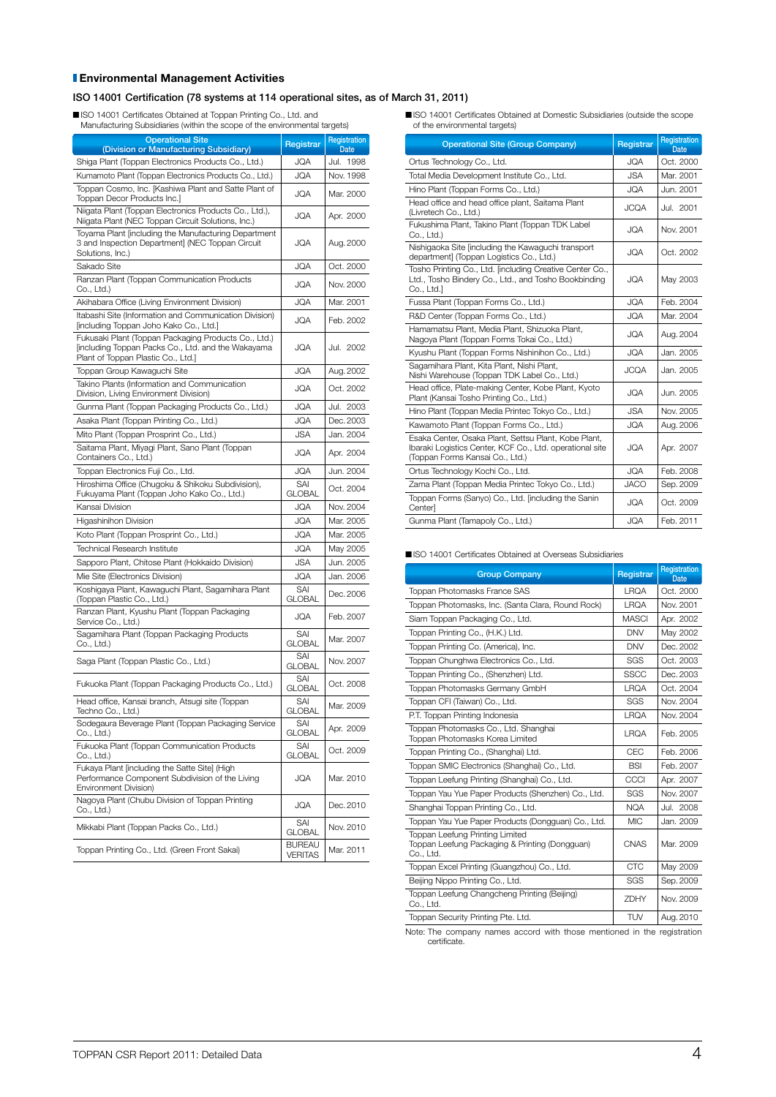#### Environmental Management Activities

#### ISO 14001 Certification (78 systems at 114 operational sites, as of March 31, 2011)

n ISO 14001 Certificates Obtained at Toppan Printing Co., Ltd. and Manufacturing Subsidiaries (within the scope of the environmental targets)

| <b>Operational Site</b><br>(Division or Manufacturing Subsidiary)                                                                                | Registrar                       | Registration<br><b>Date</b> |
|--------------------------------------------------------------------------------------------------------------------------------------------------|---------------------------------|-----------------------------|
| Shiga Plant (Toppan Electronics Products Co., Ltd.)                                                                                              | JQA                             | Jul. 1998                   |
| Kumamoto Plant (Toppan Electronics Products Co., Ltd.)                                                                                           | <b>JQA</b>                      | Nov. 1998                   |
| Toppan Cosmo, Inc. [Kashiwa Plant and Satte Plant of<br>Toppan Decor Products Inc.]                                                              | <b>JQA</b>                      | Mar. 2000                   |
| Niigata Plant (Toppan Electronics Products Co., Ltd.),<br>Niigata Plant (NEC Toppan Circuit Solutions, Inc.)                                     | <b>JQA</b>                      | Apr. 2000                   |
| Toyama Plant (including the Manufacturing Department<br>3 and Inspection Department] (NEC Toppan Circuit<br>Solutions, Inc.)                     | <b>JQA</b>                      | Aug. 2000                   |
| Sakado Site                                                                                                                                      | JQA                             | Oct. 2000                   |
| Ranzan Plant (Toppan Communication Products<br>Co., Ltd.)                                                                                        | <b>JQA</b>                      | Nov. 2000                   |
| Akihabara Office (Living Environment Division)                                                                                                   | JQA                             | Mar. 2001                   |
| Itabashi Site (Information and Communication Division)<br>[including Toppan Joho Kako Co., Ltd.]                                                 | <b>JQA</b>                      | Feb. 2002                   |
| Fukusaki Plant (Toppan Packaging Products Co., Ltd.)<br>[including Toppan Packs Co., Ltd. and the Wakayama<br>Plant of Toppan Plastic Co., Ltd.] | JQA                             | Jul. 2002                   |
| Toppan Group Kawaguchi Site                                                                                                                      | JQA                             | Aug. 2002                   |
| Takino Plants (Information and Communication<br>Division, Living Environment Division)                                                           | <b>JQA</b>                      | Oct. 2002                   |
| Gunma Plant (Toppan Packaging Products Co., Ltd.)                                                                                                | <b>JQA</b>                      | Jul. 2003                   |
| Asaka Plant (Toppan Printing Co., Ltd.)                                                                                                          | <b>JQA</b>                      | Dec. 2003                   |
| Mito Plant (Toppan Prosprint Co., Ltd.)                                                                                                          | <b>JSA</b>                      | Jan. 2004                   |
| Saitama Plant, Miyagi Plant, Sano Plant (Toppan<br>Containers Co., Ltd.)                                                                         | JQA                             | Apr. 2004                   |
| Toppan Electronics Fuji Co., Ltd.                                                                                                                | <b>JQA</b>                      | Jun. 2004                   |
| Hiroshima Office (Chugoku & Shikoku Subdivision),<br>Fukuyama Plant (Toppan Joho Kako Co., Ltd.)                                                 | SAI<br><b>GLOBAL</b>            | Oct. 2004                   |
| Kansai Division                                                                                                                                  | <b>JQA</b>                      | Nov. 2004                   |
| Higashinihon Division                                                                                                                            | <b>JQA</b>                      | Mar. 2005                   |
| Koto Plant (Toppan Prosprint Co., Ltd.)                                                                                                          | <b>JQA</b>                      | Mar. 2005                   |
| <b>Technical Research Institute</b>                                                                                                              | <b>JQA</b>                      | May 2005                    |
| Sapporo Plant, Chitose Plant (Hokkaido Division)                                                                                                 | <b>JSA</b>                      | Jun. 2005                   |
| Mie Site (Electronics Division)                                                                                                                  | <b>JQA</b>                      | Jan. 2006                   |
| Koshigaya Plant, Kawaguchi Plant, Sagamihara Plant<br>(Toppan Plastic Co., Ltd.)                                                                 | SAI<br><b>GLOBAL</b>            | Dec. 2006                   |
| Ranzan Plant, Kyushu Plant (Toppan Packaging<br>Service Co., Ltd.)                                                                               | JQA                             | Feb. 2007                   |
| Sagamihara Plant (Toppan Packaging Products<br>Co., Ltd.)                                                                                        | SAI<br><b>GLOBAL</b>            | Mar. 2007                   |
| Saga Plant (Toppan Plastic Co., Ltd.)                                                                                                            | SAI<br><b>GLOBAL</b>            | Nov. 2007                   |
| Fukuoka Plant (Toppan Packaging Products Co., Ltd.)                                                                                              | SAI<br><b>GLOBAL</b>            | Oct. 2008                   |
| Head office, Kansai branch, Atsugi site (Toppan<br>Techno Co., Ltd.)                                                                             | SAI<br>GLOBAL                   | Mar. 2009                   |
| Sodegaura Beverage Plant (Toppan Packaging Service<br>Co., Ltd.)                                                                                 | SAI<br>GLOBAL                   | Apr. 2009                   |
| Fukuoka Plant (Toppan Communication Products<br>Co., Ltd.                                                                                        | SAI<br><b>GLOBAL</b>            | Oct. 2009                   |
| Fukaya Plant [including the Satte Site] (High<br>Performance Component Subdivision of the Living<br>Environment Division)                        | JQA                             | Mar. 2010                   |
| Nagoya Plant (Chubu Division of Toppan Printing<br>Co., Ltd.)                                                                                    | JQA                             | Dec. 2010                   |
| Mikkabi Plant (Toppan Packs Co., Ltd.)                                                                                                           | SAI<br>GLOBAL                   | Nov. 2010                   |
| Toppan Printing Co., Ltd. (Green Front Sakai)                                                                                                    | <b>BUREAU</b><br><b>VERITAS</b> | Mar. 2011                   |

n ISO 14001 Certificates Obtained at Domestic Subsidiaries (outside the scope of the environmental targets)

| <b>Operational Site (Group Company)</b>                                                                                                             | Registrar   | Registration<br><b>Date</b> |
|-----------------------------------------------------------------------------------------------------------------------------------------------------|-------------|-----------------------------|
| Ortus Technology Co., Ltd.                                                                                                                          | <b>JQA</b>  | Oct. 2000                   |
| Total Media Development Institute Co., Ltd.                                                                                                         | <b>JSA</b>  | Mar. 2001                   |
| Hino Plant (Toppan Forms Co., Ltd.)                                                                                                                 | <b>JQA</b>  | Jun. 2001                   |
| Head office and head office plant, Saitama Plant<br>(Livretech Co., Ltd.)                                                                           | <b>JCQA</b> | Jul. 2001                   |
| Fukushima Plant, Takino Plant (Toppan TDK Label<br>Co., Ltd.)                                                                                       | <b>JQA</b>  | Nov. 2001                   |
| Nishigaoka Site [including the Kawaguchi transport<br>department] (Toppan Logistics Co., Ltd.)                                                      | <b>JQA</b>  | Oct. 2002                   |
| Tosho Printing Co., Ltd. [including Creative Center Co.,<br>Ltd., Tosho Bindery Co., Ltd., and Tosho Bookbinding<br>Co., Ltd.]                      | ACI.        | May 2003                    |
| Fussa Plant (Toppan Forms Co., Ltd.)                                                                                                                | ACI.        | Feb. 2004                   |
| R&D Center (Toppan Forms Co., Ltd.)                                                                                                                 | <b>JQA</b>  | Mar. 2004                   |
| Hamamatsu Plant, Media Plant, Shizuoka Plant,<br>Nagoya Plant (Toppan Forms Tokai Co., Ltd.)                                                        | <b>JQA</b>  | Aug. 2004                   |
| Kyushu Plant (Toppan Forms Nishinihon Co., Ltd.)                                                                                                    | <b>JQA</b>  | Jan. 2005                   |
| Sagamihara Plant, Kita Plant, Nishi Plant,<br>Nishi Warehouse (Toppan TDK Label Co., Ltd.)                                                          | <b>JCQA</b> | Jan. 2005                   |
| Head office, Plate-making Center, Kobe Plant, Kyoto<br>Plant (Kansai Tosho Printing Co., Ltd.)                                                      | ACI.        | Jun. 2005.                  |
| Hino Plant (Toppan Media Printec Tokyo Co., Ltd.)                                                                                                   | JSA         | Nov. 2005                   |
| Kawamoto Plant (Toppan Forms Co., Ltd.)                                                                                                             | ACL.        | Aug. 2006                   |
| Esaka Center, Osaka Plant, Settsu Plant, Kobe Plant,<br>Ibaraki Logistics Center, KCF Co., Ltd. operational site<br>(Toppan Forms Kansai Co., Ltd.) | <b>JQA</b>  | Apr. 2007                   |
| Ortus Technology Kochi Co., Ltd.                                                                                                                    | ACI.        | Feb. 2008                   |
| Zama Plant (Toppan Media Printec Tokyo Co., Ltd.)                                                                                                   | <b>JACO</b> | Sep. 2009                   |
| Toppan Forms (Sanyo) Co., Ltd. [including the Sanin<br>Center]                                                                                      | <b>JQA</b>  | Oct. 2009                   |
| Gunma Plant (Tamapoly Co., Ltd.)                                                                                                                    | <b>JQA</b>  | Feb. 2011                   |

n ISO 14001 Certificates Obtained at Overseas Subsidiaries

| <b>Group Company</b>                                                                           | Registrar    | <b>Registration</b><br><b>Date</b> |
|------------------------------------------------------------------------------------------------|--------------|------------------------------------|
| Toppan Photomasks France SAS                                                                   | <b>LRQA</b>  | Oct. 2000                          |
| Toppan Photomasks, Inc. (Santa Clara, Round Rock)                                              | I ROA        | Nov. 2001                          |
| Siam Toppan Packaging Co., Ltd.                                                                | <b>MASCI</b> | Apr. 2002                          |
| Toppan Printing Co., (H.K.) Ltd.                                                               | <b>DNV</b>   | May 2002                           |
| Toppan Printing Co. (America), Inc.                                                            | <b>DNV</b>   | Dec. 2002                          |
| Toppan Chunghwa Electronics Co., Ltd.                                                          | SGS          | Oct. 2003                          |
| Toppan Printing Co., (Shenzhen) Ltd.                                                           | SSCC         | Dec. 2003                          |
| Toppan Photomasks Germany GmbH                                                                 | <b>LRQA</b>  | Oct. 2004                          |
| Toppan CFI (Taiwan) Co., Ltd.                                                                  | SGS          | Nov. 2004                          |
| P.T. Toppan Printing Indonesia                                                                 | <b>LRQA</b>  | Nov. 2004                          |
| Toppan Photomasks Co., Ltd. Shanghai<br>Toppan Photomasks Korea Limited                        | I ROA        | Feb. 2005                          |
| Toppan Printing Co., (Shanghai) Ltd.                                                           | CFC          | Feb. 2006                          |
| Toppan SMIC Electronics (Shanghai) Co., Ltd.                                                   | <b>BSI</b>   | Feb. 2007                          |
| Toppan Leefung Printing (Shanghai) Co., Ltd.                                                   | CCCI         | Apr. 2007                          |
| Toppan Yau Yue Paper Products (Shenzhen) Co., Ltd.                                             | SGS          | Nov. 2007                          |
| Shanghai Toppan Printing Co., Ltd.                                                             | <b>NQA</b>   | Jul. 2008                          |
| Toppan Yau Yue Paper Products (Dongguan) Co., Ltd.                                             | <b>MIC</b>   | Jan. 2009                          |
| Toppan Leefung Printing Limited<br>Toppan Leefung Packaging & Printing (Dongguan)<br>Co., Ltd. | <b>CNAS</b>  | Mar. 2009                          |
| Toppan Excel Printing (Guangzhou) Co., Ltd.                                                    | <b>CTC</b>   | May 2009                           |
| Beijing Nippo Printing Co., Ltd.                                                               | SGS          | Sep. 2009                          |
| Toppan Leefung Changcheng Printing (Beijing)<br>Co., Ltd.                                      | <b>7DHY</b>  | Nov. 2009                          |
| Toppan Security Printing Pte. Ltd.                                                             | <b>TUV</b>   | Aug. 2010                          |

Note: The company names accord with those mentioned in the registration certificate.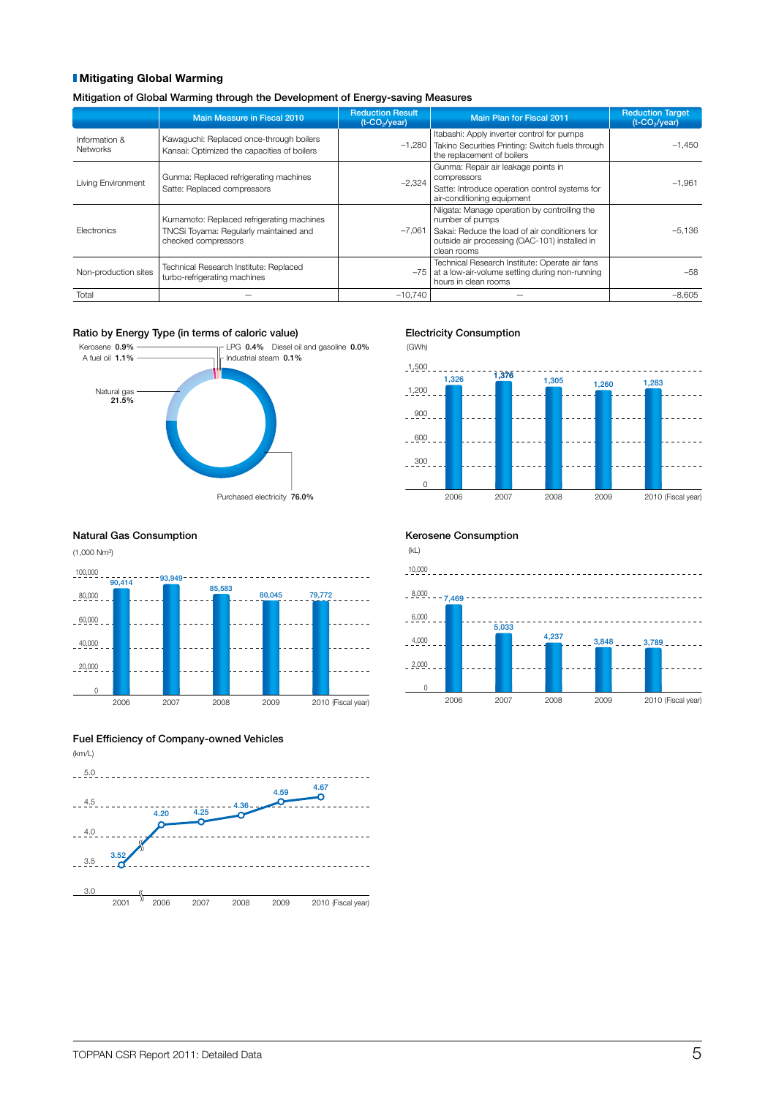#### **Mitigating Global Warming**

Mitigation of Global Warming through the Development of Energy-saving Measures

|                      | Main Measure in Fiscal 2010                 | <b>Reduction Result</b><br>$(t$ -CO <sub>2</sub> /year) | <b>Main Plan for Fiscal 2011</b>                                               | <b>Reduction Target</b><br>(t-CO <sub>2</sub> /year) |
|----------------------|---------------------------------------------|---------------------------------------------------------|--------------------------------------------------------------------------------|------------------------------------------------------|
| Information &        | Kawaguchi: Replaced once-through boilers    |                                                         | Itabashi: Apply inverter control for pumps                                     |                                                      |
| <b>Networks</b>      | Kansai: Optimized the capacities of boilers | $-1.280$                                                | Takino Securities Printing: Switch fuels through<br>the replacement of boilers | $-1.450$                                             |
|                      |                                             |                                                         | Gunma: Repair air leakage points in                                            |                                                      |
| Living Environment   | Gunma: Replaced refrigerating machines      | $-2.324$                                                | compressors                                                                    | $-1.961$                                             |
|                      | Satte: Replaced compressors                 |                                                         | Satte: Introduce operation control systems for                                 |                                                      |
|                      |                                             |                                                         | air-conditioning equipment                                                     |                                                      |
|                      | Kumamoto: Replaced refrigerating machines   |                                                         | Niigata: Manage operation by controlling the<br>number of pumps                |                                                      |
| Flectronics          | TNCSi Toyama: Regularly maintained and      | $-7.061$                                                | Sakai: Reduce the load of air conditioners for                                 | $-5.136$                                             |
|                      | checked compressors                         |                                                         | outside air processing (OAC-101) installed in<br>clean rooms                   |                                                      |
|                      | Technical Research Institute: Replaced      |                                                         | Technical Research Institute: Operate air fans                                 |                                                      |
| Non-production sites | turbo-refrigerating machines                | -75                                                     | at a low-air-volume setting during non-running<br>hours in clean rooms         | $-58$                                                |
| Total                |                                             | $-10.740$                                               |                                                                                | $-8.605$                                             |

#### Ratio by Energy Type (in terms of caloric value)



#### Electricity Consumption

(GWh)  $-1,500$ 1,376 ----- $\sim$   $\sim$   $\sim$ 1,326 1,305 1,260 1,283  $-1,200$  $-900 -600$  $-300$  $\Omega$ 2006 2007 2008 2009 2010 (Fiscal year)

#### Natural Gas Consumption **Natural Gas Consumption**



#### Fuel Efficiency of Company-owned Vehicles



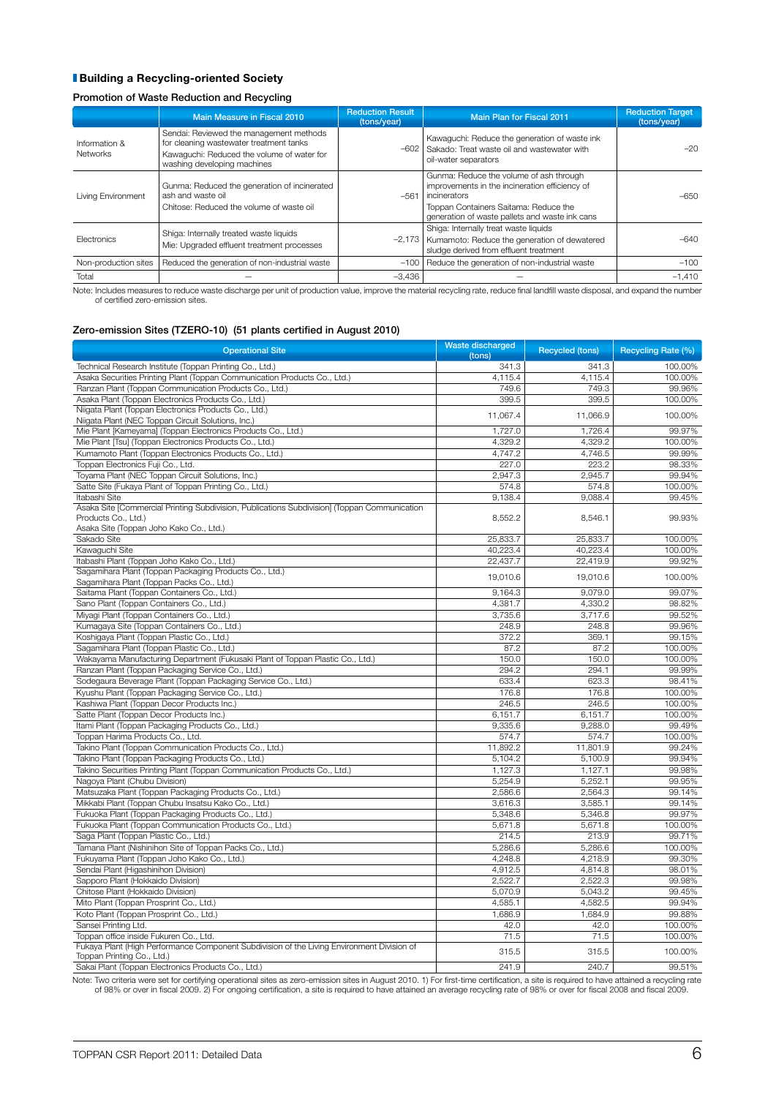#### **Building a Recycling-oriented Society**

#### Promotion of Waste Reduction and Recycling

|                                  | Main Measure in Fiscal 2010                                                                                                                                     | <b>Reduction Result</b><br>(tons/year) | <b>Main Plan for Fiscal 2011</b>                                                                                                                                                                     | <b>Reduction Target</b><br>(tons/year) |
|----------------------------------|-----------------------------------------------------------------------------------------------------------------------------------------------------------------|----------------------------------------|------------------------------------------------------------------------------------------------------------------------------------------------------------------------------------------------------|----------------------------------------|
| Information &<br><b>Networks</b> | Sendai: Reviewed the management methods<br>for cleaning wastewater treatment tanks<br>Kawaquchi: Reduced the volume of water for<br>washing developing machines | $-602$                                 | Kawaguchi: Reduce the generation of waste ink<br>Sakado: Treat waste oil and wastewater with<br>oil-water separators                                                                                 | $-20$                                  |
| Living Environment               | Gunma: Reduced the generation of incinerated<br>ash and waste oil<br>Chitose: Reduced the volume of waste oil                                                   | $-561$                                 | Gunma: Reduce the volume of ash through<br>improvements in the incineration efficiency of<br>incinerators<br>Toppan Containers Saitama: Reduce the<br>generation of waste pallets and waste ink cans | -650                                   |
| <b>Flectronics</b>               | Shiga: Internally treated waste liquids<br>Mie: Upgraded effluent treatment processes                                                                           | $-2,173$                               | Shiga: Internally treat waste liquids<br>Kumamoto: Reduce the generation of dewatered<br>sludge derived from effluent treatment                                                                      | $-640$                                 |
| Non-production sites             | Reduced the generation of non-industrial waste                                                                                                                  | $-100$                                 | Reduce the generation of non-industrial waste                                                                                                                                                        | $-100$                                 |
| Total                            |                                                                                                                                                                 | $-3.436$                               |                                                                                                                                                                                                      | $-1.410$                               |

Note: Includes measures to reduce waste discharge per unit of production value, improve the material recycling rate, reduce final landfill waste disposal, and expand the number of certified zero-emission sites.

#### Zero-emission Sites (TZERO-10) (51 plants certified in August 2010)

| <b>Operational Site</b>                                                                                             | Waste discharged<br>(tons) | <b>Recycled (tons)</b> | <b>Recycling Rate (%)</b> |
|---------------------------------------------------------------------------------------------------------------------|----------------------------|------------------------|---------------------------|
| Technical Research Institute (Toppan Printing Co., Ltd.)                                                            | 341.3                      | 341.3                  | 100.00%                   |
| Asaka Securities Printing Plant (Toppan Communication Products Co., Ltd.)                                           | 4,115.4                    | 4,115.4                | 100.00%                   |
| Ranzan Plant (Toppan Communication Products Co., Ltd.)                                                              | 749.6                      | 749.3                  | 99.96%                    |
| Asaka Plant (Toppan Electronics Products Co., Ltd.)                                                                 | 399.5                      | 399.5                  | 100.00%                   |
| Niigata Plant (Toppan Electronics Products Co., Ltd.)                                                               | 11,067.4                   | 11,066.9               | 100.00%                   |
| Niigata Plant (NEC Toppan Circuit Solutions, Inc.)                                                                  |                            |                        |                           |
| Mie Plant [Kameyama] (Toppan Electronics Products Co., Ltd.)                                                        | 1,727.0                    | 1,726.4                | 99.97%                    |
| Mie Plant [Tsu] (Toppan Electronics Products Co., Ltd.)                                                             | 4,329.2                    | 4,329.2                | 100.00%                   |
| Kumamoto Plant (Toppan Electronics Products Co., Ltd.)                                                              | 4,747.2                    | 4,746.5                | 99.99%                    |
| Toppan Electronics Fuji Co., Ltd.                                                                                   | 227.0                      | 223.2                  | 98.33%                    |
| Toyama Plant (NEC Toppan Circuit Solutions, Inc.)                                                                   | 2,947.3                    | 2,945.7                | 99.94%                    |
| Satte Site (Fukaya Plant of Toppan Printing Co., Ltd.)                                                              | 574.8                      | 574.8                  | 100.00%                   |
| Itabashi Site                                                                                                       | 9,138.4                    | 9,088.4                | 99.45%                    |
| Asaka Site [Commercial Printing Subdivision, Publications Subdivision] (Toppan Communication<br>Products Co., Ltd.) | 8,552.2                    | 8,546.1                | 99.93%                    |
| Asaka Site (Toppan Joho Kako Co., Ltd.)                                                                             |                            |                        |                           |
| Sakado Site                                                                                                         | 25,833.7                   | 25,833.7               | 100.00%                   |
| Kawaguchi Site                                                                                                      | 40,223.4                   | 40,223.4               | 100.00%                   |
| Itabashi Plant (Toppan Joho Kako Co., Ltd.)                                                                         | 22,437.7                   | 22.419.9               | 99.92%                    |
| Sagamihara Plant (Toppan Packaging Products Co., Ltd.)<br>Sagamihara Plant (Toppan Packs Co., Ltd.)                 | 19,010.6                   | 19,010.6               | 100.00%                   |
| Saitama Plant (Toppan Containers Co., Ltd.)                                                                         | 9.164.3                    | 9.079.0                | 99.07%                    |
| Sano Plant (Toppan Containers Co., Ltd.)                                                                            | 4,381.7                    | 4,330.2                | 98.82%                    |
| Miyagi Plant (Toppan Containers Co., Ltd.)                                                                          | 3,735.6                    | 3,717.6                | 99.52%                    |
| Kumagaya Site (Toppan Containers Co., Ltd.)                                                                         | 248.9                      | 248.8                  | 99.96%                    |
| Koshigaya Plant (Toppan Plastic Co., Ltd.)                                                                          | 372.2                      | 369.1                  | 99.15%                    |
|                                                                                                                     |                            |                        |                           |
| Sagamihara Plant (Toppan Plastic Co., Ltd.)                                                                         | 87.2                       | 87.2                   | 100.00%                   |
| Wakayama Manufacturing Department (Fukusaki Plant of Toppan Plastic Co., Ltd.)                                      | 150.0                      | 150.0                  | 100.00%                   |
| Ranzan Plant (Toppan Packaging Service Co., Ltd.)                                                                   | 294.2                      | 294.1                  | 99.99%                    |
| Sodegaura Beverage Plant (Toppan Packaging Service Co., Ltd.)                                                       | 633.4                      | 623.3                  | 98.41%                    |
| Kyushu Plant (Toppan Packaging Service Co., Ltd.)                                                                   | 176.8                      | 176.8                  | 100.00%                   |
| Kashiwa Plant (Toppan Decor Products Inc.)                                                                          | 246.5                      | 246.5                  | 100.00%                   |
| Satte Plant (Toppan Decor Products Inc.)                                                                            | 6,151.7                    | 6,151.7                | 100.00%                   |
| Itami Plant (Toppan Packaging Products Co., Ltd.)                                                                   | 9,335.6                    | 9.288.0                | 99.49%                    |
| Toppan Harima Products Co., Ltd.                                                                                    | 574.7                      | 574.7                  | 100.00%                   |
| Takino Plant (Toppan Communication Products Co., Ltd.)                                                              | 11,892.2                   | 11,801.9               | 99.24%                    |
| Takino Plant (Toppan Packaging Products Co., Ltd.)                                                                  | 5,104.2                    | 5,100.9                | 99.94%                    |
| Takino Securities Printing Plant (Toppan Communication Products Co., Ltd.)                                          | 1,127.3                    | 1,127.1                | 99.98%                    |
| Nagoya Plant (Chubu Division)                                                                                       | 5,254.9                    | 5,252.1                | 99.95%                    |
| Matsuzaka Plant (Toppan Packaging Products Co., Ltd.)                                                               | 2,586.6                    | 2,564.3                | 99.14%                    |
| Mikkabi Plant (Toppan Chubu Insatsu Kako Co., Ltd.)                                                                 | 3,616.3                    | 3,585.1                | 99.14%                    |
| Fukuoka Plant (Toppan Packaging Products Co., Ltd.)                                                                 | 5,348.6                    | 5.346.8                | 99.97%                    |
| Fukuoka Plant (Toppan Communication Products Co., Ltd.)                                                             | 5,671.8                    | 5,671.8                | 100.00%                   |
| Saga Plant (Toppan Plastic Co., Ltd.)                                                                               | 214.5                      | 213.9                  | 99.71%                    |
| Tamana Plant (Nishinihon Site of Toppan Packs Co., Ltd.)                                                            | 5,286.6                    | 5,286.6                | 100.00%                   |
| Fukuyama Plant (Toppan Joho Kako Co., Ltd.)                                                                         | 4,248.8                    | 4,218.9                | 99.30%                    |
| Sendai Plant (Higashinihon Division)                                                                                | 4,912.5                    | 4,814.8                | 98.01%                    |
| Sapporo Plant (Hokkaido Division)                                                                                   | 2,522.7                    | 2,522.3                | 99.98%                    |
| Chitose Plant (Hokkaido Division)                                                                                   | 5,070.9                    | 5,043.2                | 99.45%                    |
| Mito Plant (Toppan Prosprint Co., Ltd.)                                                                             | 4,585.1                    | 4,582.5                | 99.94%                    |
| Koto Plant (Toppan Prosprint Co., Ltd.)                                                                             | 1,686.9                    | 1,684.9                | 99.88%                    |
| Sansei Printing Ltd.                                                                                                | 42.0                       | 42.0                   | 100.00%                   |
| Toppan office inside Fukuren Co., Ltd.                                                                              | 71.5                       | 71.5                   | 100.00%                   |
| Fukaya Plant (High Performance Component Subdivision of the Living Environment Division of                          |                            |                        |                           |
| Toppan Printing Co., Ltd.)                                                                                          | 315.5                      | 315.5                  | 100.00%                   |
| Sakai Plant (Toppan Electronics Products Co., Ltd.)                                                                 | 241.9                      | 240.7                  | 99.51%                    |

Note: Two criteria were set for certifying operational sites as zero-emission sites in August 2010. 1) For first-time certification, a site is required to have attained a recycling rate<br>of 98% or over in fiscal 2009. 2) Fo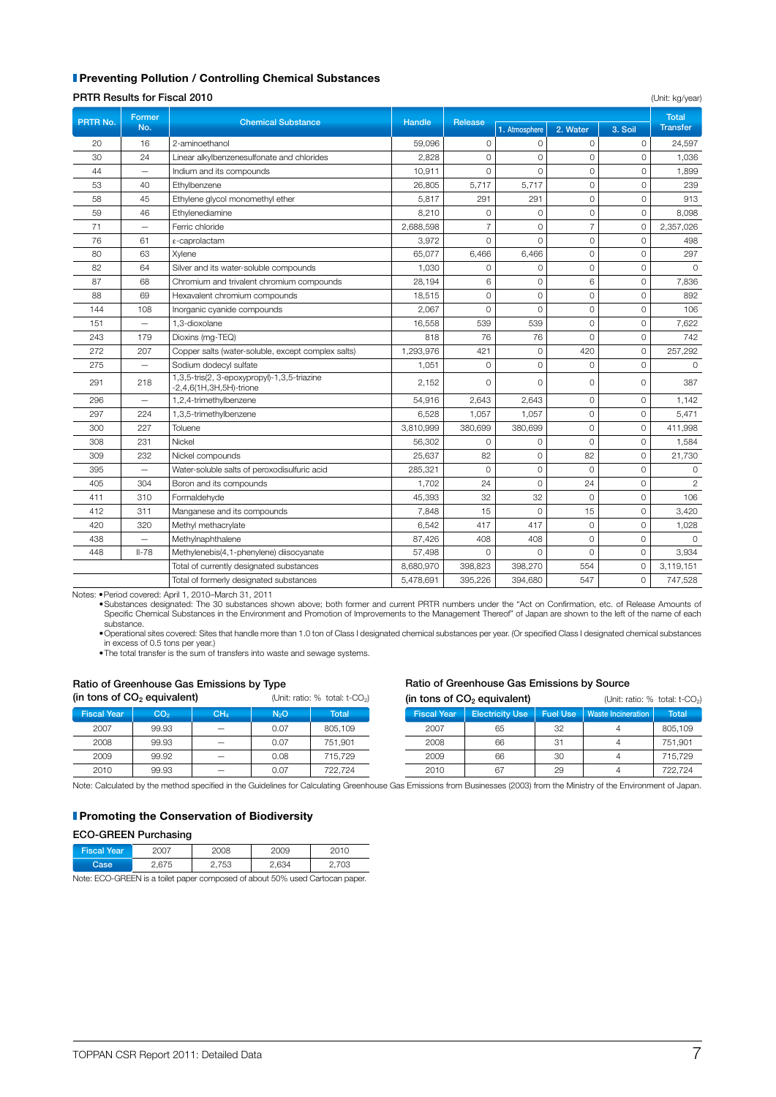#### **I** Preventing Pollution / Controlling Chemical Substances

#### **PRTR Results for Fiscal 2010** (Unit: kg/year)

|          |                          | ד וזווו ווכאשונה וטו וואסור ווווו                                         |               |                |                |                |                | (UTIIL NY year) |
|----------|--------------------------|---------------------------------------------------------------------------|---------------|----------------|----------------|----------------|----------------|-----------------|
| PRTR No. | Former<br>No.            | <b>Chemical Substance</b>                                                 | <b>Handle</b> | Release        |                |                |                |                 |
|          |                          |                                                                           |               |                | 1. Atmosphere  | 2. Water       | 3. Soil        | <b>Transfer</b> |
| 20       | 16                       | 2-aminoethanol                                                            | 59,096        | $\Omega$       | $\Omega$       | $\Omega$       | $\Omega$       | 24,597          |
| 30       | 24                       | Linear alkylbenzenesulfonate and chlorides                                | 2,828         | 0              | $\Omega$       | $\Omega$       | $\Omega$       | 1,036           |
| 44       |                          | Indium and its compounds                                                  | 10,911        | $\Omega$       | $\Omega$       | $\Omega$       | $\Omega$       | 1,899           |
| 53       | 40                       | Ethylbenzene                                                              | 26,805        | 5,717          | 5,717          | $\circ$        | $\circ$        | 239             |
| 58       | 45                       | Ethylene glycol monomethyl ether                                          | 5.817         | 291            | 291            | $\Omega$       | $\Omega$       | 913             |
| 59       | 46                       | Ethylenediamine                                                           | 8,210         | $\mathbf 0$    | $\Omega$       | $\Omega$       | $\Omega$       | 8,098           |
| 71       | $\equiv$                 | Ferric chloride                                                           | 2,688,598     | $\overline{7}$ | $\overline{0}$ | $\overline{7}$ | $\Omega$       | 2,357,026       |
| 76       | 61                       | ε-caprolactam                                                             | 3,972         | $\Omega$       | $\Omega$       | $\Omega$       | $\Omega$       | 498             |
| 80       | 63                       | Xylene                                                                    | 65,077        | 6.466          | 6.466          | 0              | $\circ$        | 297             |
| 82       | 64                       | Silver and its water-soluble compounds                                    | 1,030         | $\Omega$       | $\Omega$       | $\Omega$       | $\Omega$       | $\Omega$        |
| 87       | 68                       | Chromium and trivalent chromium compounds                                 | 28,194        | 6              | $\mathbf{O}$   | 6              | $\circ$        | 7,836           |
| 88       | 69                       | Hexavalent chromium compounds                                             | 18,515        | $\Omega$       | $\Omega$       | $\Omega$       | $\circ$        | 892             |
| 144      | 108                      | Inorganic cyanide compounds                                               | 2,067         | 0              | $\mathbf{O}$   | 0              | $\circ$        | 106             |
| 151      | $\overline{\phantom{m}}$ | 1,3-dioxolane                                                             | 16,558        | 539            | 539            | $\Omega$       | $\Omega$       | 7,622           |
| 243      | 179                      | Dioxins (mg-TEQ)                                                          | 818           | 76             | 76             | $\Omega$       | $\circ$        | 742             |
| 272      | 207                      | Copper salts (water-soluble, except complex salts)                        | 1,293,976     | 421            | $\Omega$       | 420            | $\Omega$       | 257,292         |
| 275      | $\overline{\phantom{0}}$ | Sodium dodecyl sulfate                                                    | 1,051         | 0              | $\circ$        | $\Omega$       | $\circ$        | $\Omega$        |
| 291      | 218                      | 1,3,5-tris(2, 3-epoxypropyl)-1,3,5-triazine<br>$-2,4,6(1H,3H,5H)$ -trione | 2,152         | $\Omega$       | $\Omega$       | $\Omega$       | $\Omega$       | 387             |
| 296      | $\overline{\phantom{0}}$ | 1,2,4-trimethylbenzene                                                    | 54,916        | 2,643          | 2,643          | 0              | $\circ$        | 1,142           |
| 297      | 224                      | 1,3,5-trimethylbenzene                                                    | 6,528         | 1,057          | 1,057          | 0              | $\overline{0}$ | 5,471           |
| 300      | 227                      | Toluene                                                                   | 3,810,999     | 380,699        | 380,699        | $\Omega$       | $\mathbf 0$    | 411,998         |
| 308      | 231                      | Nickel                                                                    | 56,302        | 0              | $\circ$        | $\Omega$       | $\circ$        | 1,584           |
| 309      | 232                      | Nickel compounds                                                          | 25,637        | 82             | $\Omega$       | 82             | $\Omega$       | 21,730          |
| 395      | $\overline{\phantom{0}}$ | Water-soluble salts of peroxodisulfuric acid                              | 285.321       | $\circ$        | $\mathbf 0$    | $\Omega$       | $\mathbf 0$    | $\Omega$        |
| 405      | 304                      | Boron and its compounds                                                   | 1,702         | 24             | $\Omega$       | 24             | $\Omega$       | $\overline{2}$  |
| 411      | 310                      | Formaldehvde                                                              | 45,393        | 32             | 32             | $\Omega$       | $\overline{0}$ | 106             |
| 412      | 311                      | Manganese and its compounds                                               | 7,848         | 15             | $\Omega$       | 15             | $\mathbf 0$    | 3,420           |
| 420      | 320                      | Methyl methacrylate                                                       | 6,542         | 417            | 417            | $\circ$        | $\mathbf 0$    | 1,028           |
| 438      |                          | Methylnaphthalene                                                         | 87,426        | 408            | 408            | 0              | 0              | $\Omega$        |
| 448      | $II-78$                  | Methylenebis(4,1-phenylene) diisocyanate                                  | 57,498        | $\circ$        | $\Omega$       | $\Omega$       | 0              | 3,934           |
|          |                          | Total of currently designated substances                                  | 8,680,970     | 398,823        | 398,270        | 554            | $\Omega$       | 3,119,151       |
|          |                          | Total of formerly designated substances                                   | 5,478,691     | 395,226        | 394,680        | 547            | 0              | 747,528         |

Notes: •Period covered: April 1, 2010–March 31, 2011<br>•Substances designated: The 30 substances shown above; both former and current PRTR numbers under the "Act on Confirmation, etc. of Release Amounts of Specific Chemical Substances in the Environment and Promotion of Improvements to the Management Thereof" of Japan are shown to the left of the name of each substance.

•Operational sites covered: Sites that handle more than 1.0 ton of Class I designated chemical substances per year. (Or specified Class I designated chemical substances in excess of 0.5 tons per year.)

•The total transfer is the sum of transfers into waste and sewage systems.

#### Ratio of Greenhouse Gas Emissions by Type

(in tons of  $CO<sub>2</sub>$  equivalent) (Unit: ratio: % total: t-CO<sub>2</sub>)

Fiscal Year CO2 CH4 N2O Total 2007 99.93 — 0.07 805,109 2008 99.93 — 0.07 751,901 2009 99.92 — 0.08 715,729 2010 | 99.93 |  $-$  | 0.07 | 722,724

#### Ratio of Greenhouse Gas Emissions by Source

| (in tons of $CO2$ equivalent) |                        |                 | (Unit: ratio: % total: t-CO <sub>2</sub> ) |              |  |
|-------------------------------|------------------------|-----------------|--------------------------------------------|--------------|--|
| <b>Fiscal Year</b>            | <b>Electricity Use</b> | <b>Fuel Use</b> | <b>Waste Incineration</b>                  | <b>Total</b> |  |
| 2007                          | 65                     | 32              |                                            | 805,109      |  |
| 2008                          | 66                     | 31              |                                            | 751,901      |  |
| 2009                          | 66                     | 30              |                                            | 715,729      |  |
| 2010                          |                        | 29              |                                            | 722,724      |  |

Note: Calculated by the method specified in the Guidelines for Calculating Greenhouse Gas Emissions from Businesses (2003) from the Ministry of the Environment of Japan.

#### **Promoting the Conservation of Biodiversity**

#### ECO-GREEN Purchasing

| Fiscal Year ' | 2007  | 2008  | 2009  |       |
|---------------|-------|-------|-------|-------|
| Case          | 2,675 | 2,753 | 2,634 | 2,703 |

Note: ECO-GREEN is a toilet paper composed of about 50% used Cartocan paper.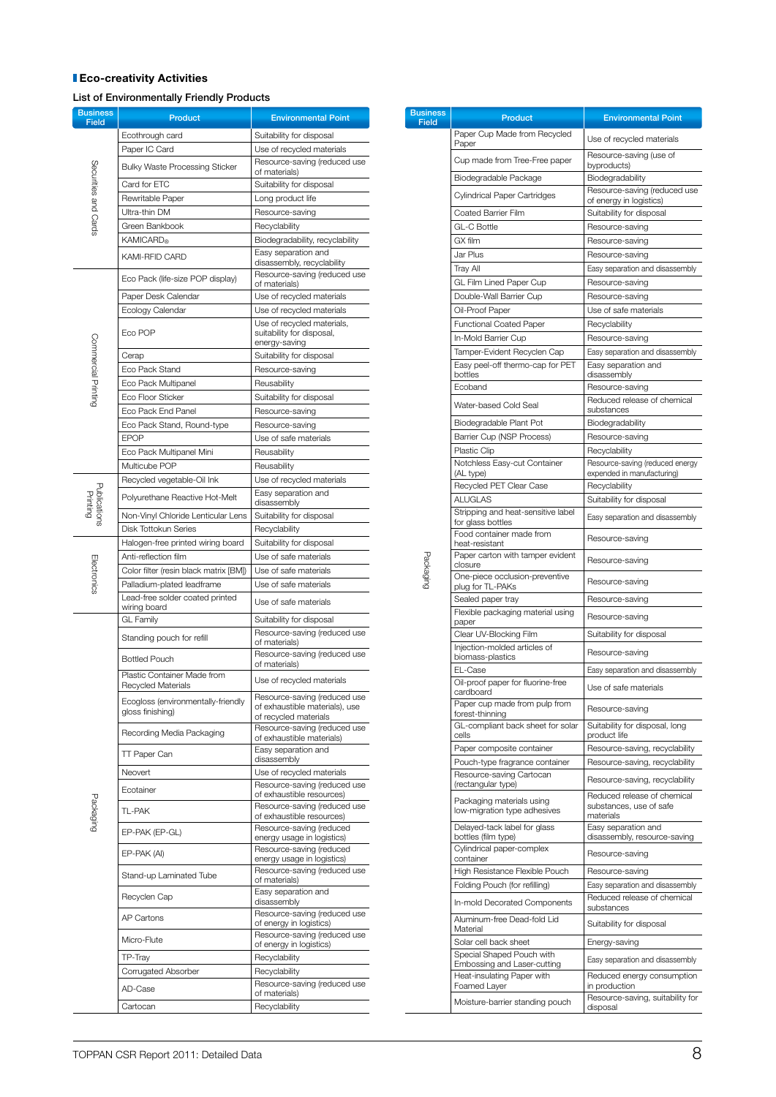#### **Eco-creativity Activities**

List of Environmentally Friendly Products

| <b>Business</b><br><b>Field</b> | <b>Product</b>                                               | <b>Environmental Point</b>                                                              |
|---------------------------------|--------------------------------------------------------------|-----------------------------------------------------------------------------------------|
|                                 | Ecothrough card                                              | Suitability for disposal                                                                |
|                                 | Paper IC Card                                                | Use of recycled materials                                                               |
|                                 | <b>Bulky Waste Processing Sticker</b>                        | Resource-saving (reduced use                                                            |
| Securities and Cards            | Card for ETC                                                 | of materials)<br>Suitability for disposal                                               |
|                                 | Rewritable Paper                                             | Long product life                                                                       |
|                                 | Ultra-thin DM                                                | Resource-saving                                                                         |
|                                 | Green Bankbook                                               | Recyclability                                                                           |
|                                 | <b>KAMICARD®</b>                                             | Biodegradability, recyclability                                                         |
|                                 | <b>KAMI-RFID CARD</b>                                        | Easy separation and                                                                     |
|                                 |                                                              | disassembly, recyclability<br>Resource-saving (reduced use                              |
|                                 | Eco Pack (life-size POP display)                             | of materials)                                                                           |
|                                 | Paper Desk Calendar                                          | Use of recycled materials                                                               |
|                                 | Ecology Calendar                                             | Use of recycled materials                                                               |
|                                 | Eco POP                                                      | Use of recycled materials,<br>suitability for disposal,<br>energy-saving                |
|                                 | Cerap                                                        | Suitability for disposal                                                                |
| Commercial Printing             | Eco Pack Stand                                               | Resource-saving                                                                         |
|                                 | Eco Pack Multipanel                                          | Reusability                                                                             |
|                                 | Eco Floor Sticker                                            | Suitability for disposal                                                                |
|                                 | Eco Pack End Panel                                           | Resource-saving                                                                         |
|                                 | Eco Pack Stand, Round-type                                   | Resource-saving                                                                         |
|                                 | <b>EPOP</b>                                                  | Use of safe materials                                                                   |
|                                 | Eco Pack Multipanel Mini                                     | Reusability                                                                             |
|                                 | Multicube POP                                                | Reusability                                                                             |
| Publication<br>Printing         | Recycled vegetable-Oil Ink<br>Polyurethane Reactive Hot-Melt | Use of recycled materials<br>Easy separation and<br>disassembly                         |
|                                 | Non-Vinyl Chloride Lenticular Lens                           | Suitability for disposal                                                                |
|                                 | Disk Tottokun Series                                         | Recyclability                                                                           |
|                                 | Halogen-free printed wiring board                            | Suitability for disposal                                                                |
|                                 | Anti-reflection film                                         | Use of safe materials                                                                   |
|                                 | Color filter (resin black matrix [BM])                       | Use of safe materials                                                                   |
| <b>Electronics</b>              | Palladium-plated leadframe                                   | Use of safe materials                                                                   |
|                                 | Lead-free solder coated printed<br>wiring board              | Use of safe materials                                                                   |
|                                 | <b>GL Family</b>                                             | Suitability for disposal                                                                |
|                                 | Standing pouch for refill                                    | Resource-saving (reduced use                                                            |
|                                 |                                                              | of materials)<br>Resource-saving (reduced use                                           |
|                                 | <b>Bottled Pouch</b>                                         | of materials)                                                                           |
|                                 | Plastic Container Made from<br>Recycled Materials            | Use of recycled materials                                                               |
|                                 | Ecogloss (environmentally-friendly<br>gloss finishing)       | Resource-saving (reduced use<br>of exhaustible materials), use<br>of recycled materials |
|                                 | Recording Media Packaging                                    | Resource-saving (reduced use<br>of exhaustible materials)                               |
|                                 | TT Paper Can                                                 | Easy separation and<br>disassembly                                                      |
|                                 | Neovert                                                      | Use of recycled materials                                                               |
|                                 | Ecotainer                                                    | Resource-saving (reduced use                                                            |
|                                 |                                                              | of exhaustible resources)<br>Resource-saving (reduced use                               |
| <b>Packaging</b>                | <b>TL-PAK</b><br>EP-PAK (EP-GL)                              | of exhaustible resources)<br>Resource-saving (reduced                                   |
|                                 |                                                              | energy usage in logistics)<br>Resource-saving (reduced                                  |
|                                 | EP-PAK (AI)                                                  | energy usage in logistics)<br>Resource-saving (reduced use                              |
|                                 | Stand-up Laminated Tube                                      | of materials)<br>Easy separation and                                                    |
|                                 | Recyclen Cap                                                 | disassembly<br>Resource-saving (reduced use                                             |
|                                 | AP Cartons                                                   | of energy in logistics)<br>Resource-saving (reduced use                                 |
|                                 | Micro-Flute                                                  | of energy in logistics)                                                                 |
|                                 | TP-Tray                                                      | Recyclability                                                                           |
|                                 | Corrugated Absorber                                          | Recyclability                                                                           |
|                                 | AD-Case                                                      | Resource-saving (reduced use<br>of materials)                                           |
|                                 | Cartocan                                                     | Recyclability                                                                           |

| <b>Business</b><br>Field | Product                                                         | <b>Environmental Point</b>                              |
|--------------------------|-----------------------------------------------------------------|---------------------------------------------------------|
|                          | Paper Cup Made from Recycled                                    | Use of recycled materials                               |
|                          | Paper                                                           | Resource-saving (use of                                 |
|                          | Cup made from Tree-Free paper                                   | byproducts)                                             |
|                          | Biodegradable Package                                           | Biodegradability                                        |
|                          | Cylindrical Paper Cartridges                                    | Resource-saving (reduced use<br>of energy in logistics) |
|                          | Coated Barrier Film                                             | Suitability for disposal                                |
|                          | <b>GL-C Bottle</b>                                              | Resource-saving                                         |
|                          | GX film                                                         | Resource-saving                                         |
|                          | Jar Plus<br><b>Tray All</b>                                     | Resource-saving<br>Easy separation and disassembly      |
|                          | GL Film Lined Paper Cup                                         | Resource-saving                                         |
|                          | Double-Wall Barrier Cup                                         | Resource-saving                                         |
|                          | Oil-Proof Paper                                                 | Use of safe materials                                   |
|                          | <b>Functional Coated Paper</b>                                  | Recyclability                                           |
|                          | In-Mold Barrier Cup                                             | Resource-saving                                         |
|                          | Tamper-Evident Recyclen Cap<br>Easy peel-off thermo-cap for PET | Easy separation and disassembly<br>Easy separation and  |
|                          | bottles                                                         | disassembly                                             |
|                          | Ecoband                                                         | Resource-saving                                         |
|                          | Water-based Cold Seal                                           | Reduced release of chemical<br>substances               |
|                          | Biodegradable Plant Pot                                         | Biodegradability                                        |
|                          | Barrier Cup (NSP Process)                                       | Resource-saving                                         |
|                          | <b>Plastic Clip</b><br>Notchless Easy-cut Container             | Recyclability<br>Resource-saving (reduced energy        |
|                          | (AL type)                                                       | expended in manufacturing)                              |
|                          | Recycled PET Clear Case                                         | Recyclability                                           |
|                          | <b>ALUGLAS</b>                                                  | Suitability for disposal                                |
|                          | Stripping and heat-sensitive label<br>for glass bottles         | Easy separation and disassembly                         |
|                          | Food container made from<br>heat-resistant                      | Resource-saving                                         |
|                          | Paper carton with tamper evident<br>closure                     | Resource-saving                                         |
| Packaging                | One-piece occlusion-preventive<br>plug for TL-PAKs              | Resource-saving                                         |
|                          | Sealed paper tray                                               | Resource-saving                                         |
|                          | Flexible packaging material using<br>paper                      | Resource-saving                                         |
|                          | Clear UV-Blocking Film                                          | Suitability for disposal                                |
|                          | Injection-molded articles of                                    | Resource-saving                                         |
|                          | biomass-plastics<br>EL-Case                                     | Easy separation and disassembly                         |
|                          | Oil-proof paper for fluorine-free<br>cardboard                  | Use of safe materials                                   |
|                          | Paper cup made from pulp from                                   | Resource-saving                                         |
|                          | forest-thinning<br>GL-compliant back sheet for solar            | Suitability for disposal, long                          |
|                          | cells<br>Paper composite container                              | product life<br>Resource-saving, recyclability          |
|                          | Pouch-type fragrance container                                  | Resource-saving, recyclability                          |
|                          | Resource-saving Cartocan                                        | Resource-saving, recyclability                          |
|                          | (rectangular type)                                              | Reduced release of chemical                             |
|                          | Packaging materials using<br>low-migration type adhesives       | substances, use of safe<br>materials                    |
|                          | Delayed-tack label for glass<br>bottles (film type)             | Easy separation and<br>disassembly, resource-saving     |
|                          | Cylindrical paper-complex<br>container                          | Resource-saving                                         |
|                          | High Resistance Flexible Pouch                                  | Resource-saving                                         |
|                          | Folding Pouch (for refilling)                                   | Easy separation and disassembly                         |
|                          | In-mold Decorated Components                                    | Reduced release of chemical<br>substances               |
|                          | Aluminum-free Dead-fold Lid<br>Material                         | Suitability for disposal                                |
|                          | Solar cell back sheet                                           | Energy-saving                                           |
|                          | Special Shaped Pouch with<br>Embossing and Laser-cutting        | Easy separation and disassembly                         |
|                          | Heat-insulating Paper with                                      | Reduced energy consumption                              |
|                          | Foamed Layer                                                    | in production<br>Resource-saving, suitability for       |
|                          | Moisture-barrier standing pouch                                 | disposal                                                |